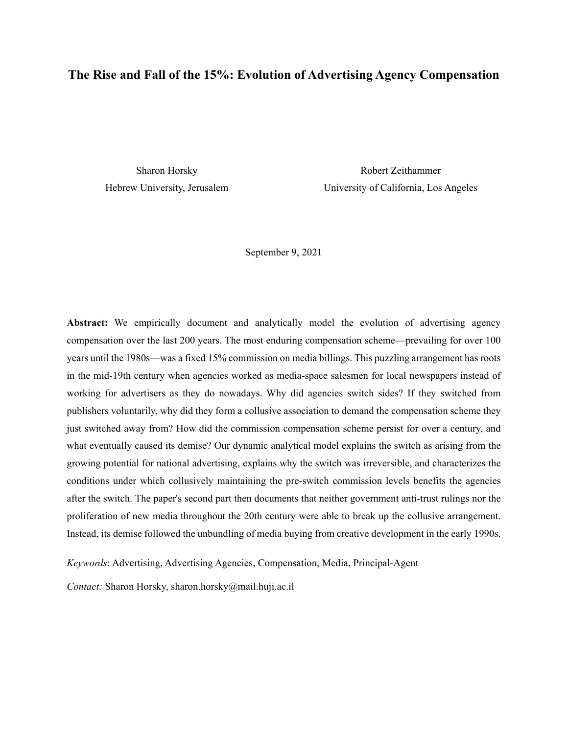# **The Rise and Fall of the 15%: Evolution of Advertising Agency Compensation**

Sharon Horsky Hebrew University, Jerusalem

Robert Zeithammer University of California, Los Angeles

September 9, 2021

**Abstract:** We empirically document and analytically model the evolution of advertising agency compensation over the last 200 years. The most enduring compensation scheme—prevailing for over 100 years until the 1980s—was a fixed 15% commission on media billings. This puzzling arrangement has roots in the mid-19th century when agencies worked as media-space salesmen for local newspapers instead of working for advertisers as they do nowadays. Why did agencies switch sides? If they switched from publishers voluntarily, why did they form a collusive association to demand the compensation scheme they just switched away from? How did the commission compensation scheme persist for over a century, and what eventually caused its demise? Our dynamic analytical model explains the switch as arising from the growing potential for national advertising, explains why the switch was irreversible, and characterizes the conditions under which collusively maintaining the pre-switch commission levels benefits the agencies after the switch. The paper's second part then documents that neither government anti-trust rulings nor the proliferation of new media throughout the 20th century were able to break up the collusive arrangement. Instead, its demise followed the unbundling of media buying from creative development in the early 1990s.

*Keywords*: Advertising, Advertising Agencies, Compensation, Media, Principal-Agent

*Contact:* Sharon Horsky, sharon.horsky@mail.huji.ac.il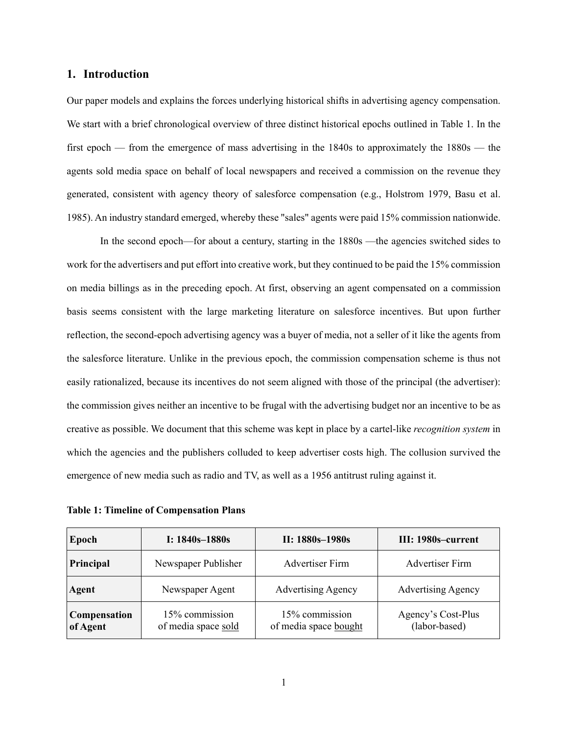#### **1. Introduction**

Our paper models and explains the forces underlying historical shifts in advertising agency compensation. We start with a brief chronological overview of three distinct historical epochs outlined in Table 1. In the first epoch — from the emergence of mass advertising in the 1840s to approximately the 1880s — the agents sold media space on behalf of local newspapers and received a commission on the revenue they generated, consistent with agency theory of salesforce compensation (e.g., Holstrom 1979, Basu et al. 1985). An industry standard emerged, whereby these "sales" agents were paid 15% commission nationwide.

In the second epoch—for about a century, starting in the 1880s —the agencies switched sides to work for the advertisers and put effort into creative work, but they continued to be paid the 15% commission on media billings as in the preceding epoch. At first, observing an agent compensated on a commission basis seems consistent with the large marketing literature on salesforce incentives. But upon further reflection, the second-epoch advertising agency was a buyer of media, not a seller of it like the agents from the salesforce literature. Unlike in the previous epoch, the commission compensation scheme is thus not easily rationalized, because its incentives do not seem aligned with those of the principal (the advertiser): the commission gives neither an incentive to be frugal with the advertising budget nor an incentive to be as creative as possible. We document that this scheme was kept in place by a cartel-like *recognition system* in which the agencies and the publishers colluded to keep advertiser costs high. The collusion survived the emergence of new media such as radio and TV, as well as a 1956 antitrust ruling against it.

**Table 1: Timeline of Compensation Plans** 

| Epoch                           | I: $1840s - 1880s$                    | $II: 1880s - 1980s$                     | III: 1980s-current                  |
|---------------------------------|---------------------------------------|-----------------------------------------|-------------------------------------|
| Principal                       | Newspaper Publisher                   | <b>Advertiser Firm</b>                  | <b>Advertiser Firm</b>              |
| Agent                           | Newspaper Agent                       | <b>Advertising Agency</b>               | <b>Advertising Agency</b>           |
| <b>Compensation</b><br>of Agent | 15% commission<br>of media space sold | 15% commission<br>of media space bought | Agency's Cost-Plus<br>(labor-based) |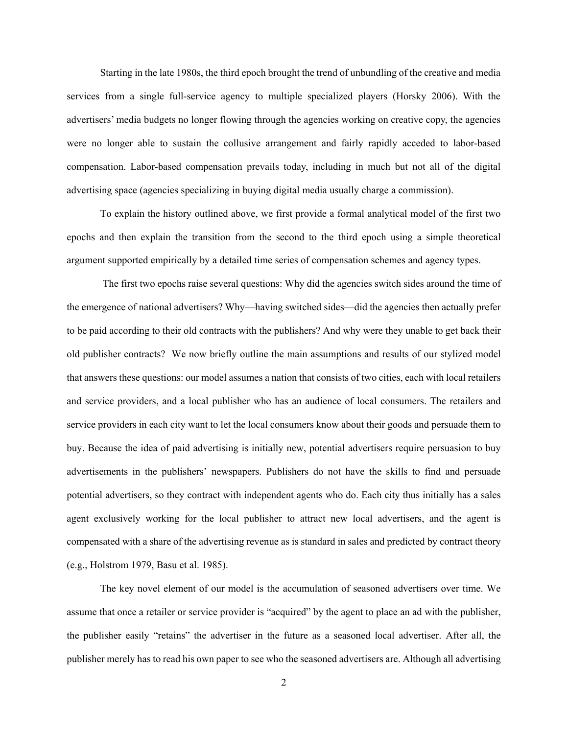Starting in the late 1980s, the third epoch brought the trend of unbundling of the creative and media services from a single full-service agency to multiple specialized players (Horsky 2006). With the advertisers' media budgets no longer flowing through the agencies working on creative copy, the agencies were no longer able to sustain the collusive arrangement and fairly rapidly acceded to labor-based compensation. Labor-based compensation prevails today, including in much but not all of the digital advertising space (agencies specializing in buying digital media usually charge a commission).

To explain the history outlined above, we first provide a formal analytical model of the first two epochs and then explain the transition from the second to the third epoch using a simple theoretical argument supported empirically by a detailed time series of compensation schemes and agency types.

 The first two epochs raise several questions: Why did the agencies switch sides around the time of the emergence of national advertisers? Why—having switched sides—did the agencies then actually prefer to be paid according to their old contracts with the publishers? And why were they unable to get back their old publisher contracts? We now briefly outline the main assumptions and results of our stylized model that answers these questions: our model assumes a nation that consists of two cities, each with local retailers and service providers, and a local publisher who has an audience of local consumers. The retailers and service providers in each city want to let the local consumers know about their goods and persuade them to buy. Because the idea of paid advertising is initially new, potential advertisers require persuasion to buy advertisements in the publishers' newspapers. Publishers do not have the skills to find and persuade potential advertisers, so they contract with independent agents who do. Each city thus initially has a sales agent exclusively working for the local publisher to attract new local advertisers, and the agent is compensated with a share of the advertising revenue as is standard in sales and predicted by contract theory (e.g., Holstrom 1979, Basu et al. 1985).

The key novel element of our model is the accumulation of seasoned advertisers over time. We assume that once a retailer or service provider is "acquired" by the agent to place an ad with the publisher, the publisher easily "retains" the advertiser in the future as a seasoned local advertiser. After all, the publisher merely has to read his own paper to see who the seasoned advertisers are. Although all advertising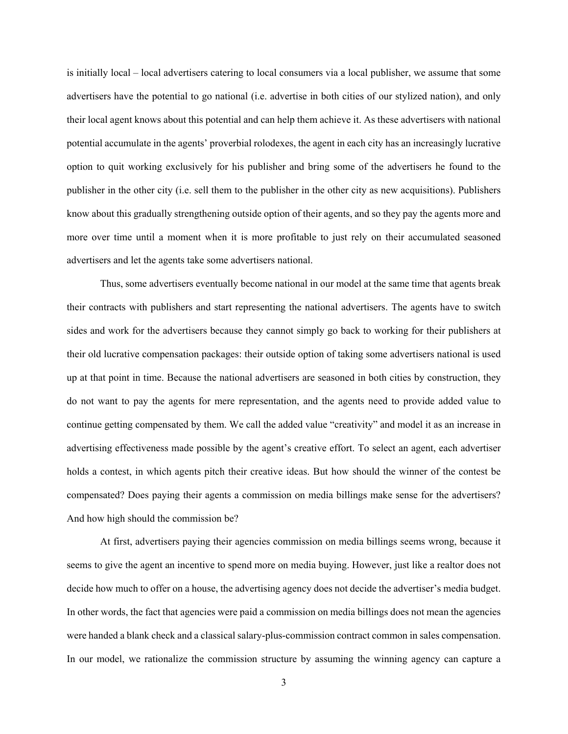is initially local – local advertisers catering to local consumers via a local publisher, we assume that some advertisers have the potential to go national (i.e. advertise in both cities of our stylized nation), and only their local agent knows about this potential and can help them achieve it. As these advertisers with national potential accumulate in the agents' proverbial rolodexes, the agent in each city has an increasingly lucrative option to quit working exclusively for his publisher and bring some of the advertisers he found to the publisher in the other city (i.e. sell them to the publisher in the other city as new acquisitions). Publishers know about this gradually strengthening outside option of their agents, and so they pay the agents more and more over time until a moment when it is more profitable to just rely on their accumulated seasoned advertisers and let the agents take some advertisers national.

Thus, some advertisers eventually become national in our model at the same time that agents break their contracts with publishers and start representing the national advertisers. The agents have to switch sides and work for the advertisers because they cannot simply go back to working for their publishers at their old lucrative compensation packages: their outside option of taking some advertisers national is used up at that point in time. Because the national advertisers are seasoned in both cities by construction, they do not want to pay the agents for mere representation, and the agents need to provide added value to continue getting compensated by them. We call the added value "creativity" and model it as an increase in advertising effectiveness made possible by the agent's creative effort. To select an agent, each advertiser holds a contest, in which agents pitch their creative ideas. But how should the winner of the contest be compensated? Does paying their agents a commission on media billings make sense for the advertisers? And how high should the commission be?

At first, advertisers paying their agencies commission on media billings seems wrong, because it seems to give the agent an incentive to spend more on media buying. However, just like a realtor does not decide how much to offer on a house, the advertising agency does not decide the advertiser's media budget. In other words, the fact that agencies were paid a commission on media billings does not mean the agencies were handed a blank check and a classical salary-plus-commission contract common in sales compensation. In our model, we rationalize the commission structure by assuming the winning agency can capture a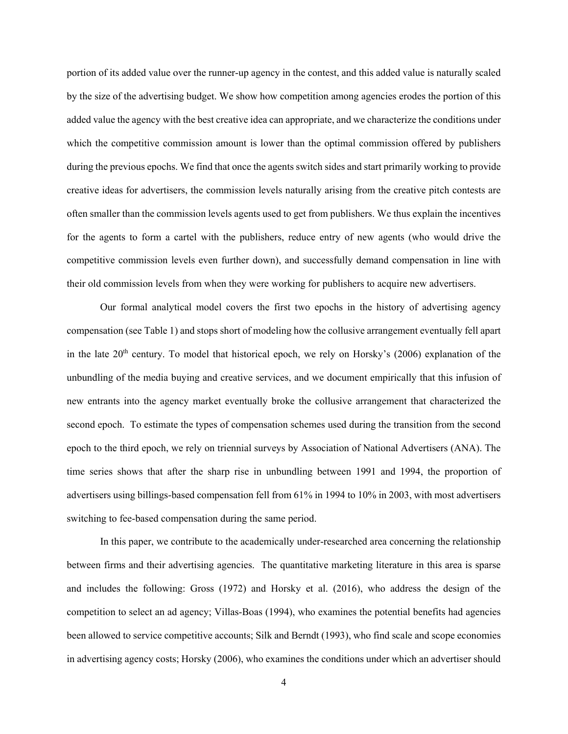portion of its added value over the runner-up agency in the contest, and this added value is naturally scaled by the size of the advertising budget. We show how competition among agencies erodes the portion of this added value the agency with the best creative idea can appropriate, and we characterize the conditions under which the competitive commission amount is lower than the optimal commission offered by publishers during the previous epochs. We find that once the agents switch sides and start primarily working to provide creative ideas for advertisers, the commission levels naturally arising from the creative pitch contests are often smaller than the commission levels agents used to get from publishers. We thus explain the incentives for the agents to form a cartel with the publishers, reduce entry of new agents (who would drive the competitive commission levels even further down), and successfully demand compensation in line with their old commission levels from when they were working for publishers to acquire new advertisers.

Our formal analytical model covers the first two epochs in the history of advertising agency compensation (see Table 1) and stops short of modeling how the collusive arrangement eventually fell apart in the late  $20<sup>th</sup>$  century. To model that historical epoch, we rely on Horsky's (2006) explanation of the unbundling of the media buying and creative services, and we document empirically that this infusion of new entrants into the agency market eventually broke the collusive arrangement that characterized the second epoch. To estimate the types of compensation schemes used during the transition from the second epoch to the third epoch, we rely on triennial surveys by Association of National Advertisers (ANA). The time series shows that after the sharp rise in unbundling between 1991 and 1994, the proportion of advertisers using billings-based compensation fell from 61% in 1994 to 10% in 2003, with most advertisers switching to fee-based compensation during the same period.

In this paper, we contribute to the academically under-researched area concerning the relationship between firms and their advertising agencies. The quantitative marketing literature in this area is sparse and includes the following: Gross (1972) and Horsky et al. (2016), who address the design of the competition to select an ad agency; Villas-Boas (1994), who examines the potential benefits had agencies been allowed to service competitive accounts; Silk and Berndt (1993), who find scale and scope economies in advertising agency costs; Horsky (2006), who examines the conditions under which an advertiser should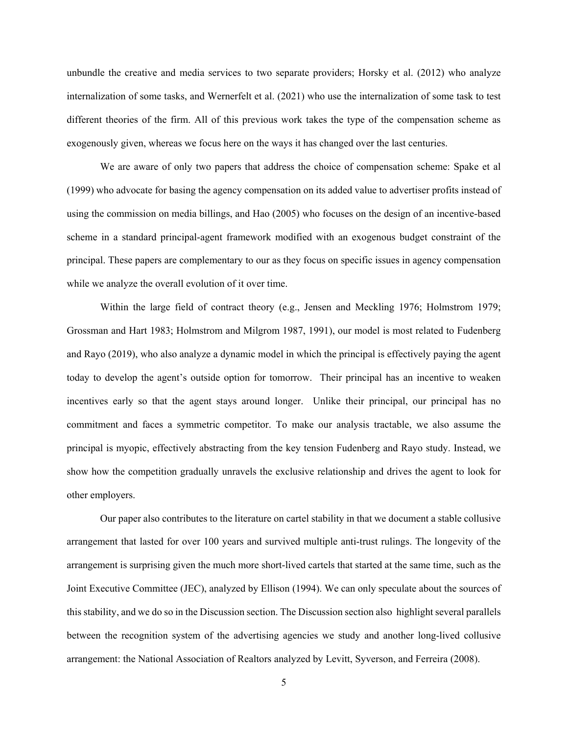unbundle the creative and media services to two separate providers; Horsky et al. (2012) who analyze internalization of some tasks, and Wernerfelt et al. (2021) who use the internalization of some task to test different theories of the firm. All of this previous work takes the type of the compensation scheme as exogenously given, whereas we focus here on the ways it has changed over the last centuries.

We are aware of only two papers that address the choice of compensation scheme: Spake et al (1999) who advocate for basing the agency compensation on its added value to advertiser profits instead of using the commission on media billings, and Hao (2005) who focuses on the design of an incentive-based scheme in a standard principal-agent framework modified with an exogenous budget constraint of the principal. These papers are complementary to our as they focus on specific issues in agency compensation while we analyze the overall evolution of it over time.

Within the large field of contract theory (e.g., Jensen and Meckling 1976; Holmstrom 1979; Grossman and Hart 1983; Holmstrom and Milgrom 1987, 1991), our model is most related to Fudenberg and Rayo (2019), who also analyze a dynamic model in which the principal is effectively paying the agent today to develop the agent's outside option for tomorrow. Their principal has an incentive to weaken incentives early so that the agent stays around longer. Unlike their principal, our principal has no commitment and faces a symmetric competitor. To make our analysis tractable, we also assume the principal is myopic, effectively abstracting from the key tension Fudenberg and Rayo study. Instead, we show how the competition gradually unravels the exclusive relationship and drives the agent to look for other employers.

Our paper also contributes to the literature on cartel stability in that we document a stable collusive arrangement that lasted for over 100 years and survived multiple anti-trust rulings. The longevity of the arrangement is surprising given the much more short-lived cartels that started at the same time, such as the Joint Executive Committee (JEC), analyzed by Ellison (1994). We can only speculate about the sources of this stability, and we do so in the Discussion section. The Discussion section also highlight several parallels between the recognition system of the advertising agencies we study and another long-lived collusive arrangement: the National Association of Realtors analyzed by Levitt, Syverson, and Ferreira (2008).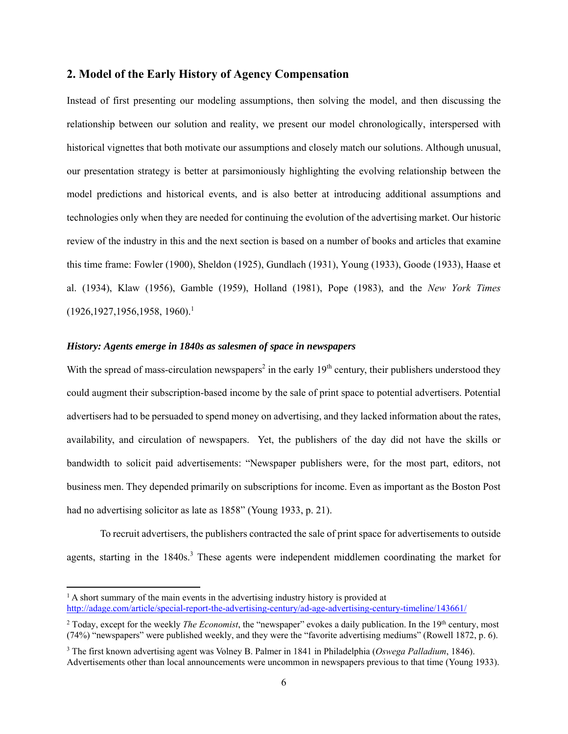# **2. Model of the Early History of Agency Compensation**

Instead of first presenting our modeling assumptions, then solving the model, and then discussing the relationship between our solution and reality, we present our model chronologically, interspersed with historical vignettes that both motivate our assumptions and closely match our solutions. Although unusual, our presentation strategy is better at parsimoniously highlighting the evolving relationship between the model predictions and historical events, and is also better at introducing additional assumptions and technologies only when they are needed for continuing the evolution of the advertising market. Our historic review of the industry in this and the next section is based on a number of books and articles that examine this time frame: Fowler (1900), Sheldon (1925), Gundlach (1931), Young (1933), Goode (1933), Haase et al. (1934), Klaw (1956), Gamble (1959), Holland (1981), Pope (1983), and the *New York Times*  $(1926, 1927, 1956, 1958, 1960).$ <sup>1</sup>

## *History: Agents emerge in 1840s as salesmen of space in newspapers*

With the spread of mass-circulation newspapers<sup>2</sup> in the early  $19<sup>th</sup>$  century, their publishers understood they could augment their subscription-based income by the sale of print space to potential advertisers. Potential advertisers had to be persuaded to spend money on advertising, and they lacked information about the rates, availability, and circulation of newspapers. Yet, the publishers of the day did not have the skills or bandwidth to solicit paid advertisements: "Newspaper publishers were, for the most part, editors, not business men. They depended primarily on subscriptions for income. Even as important as the Boston Post had no advertising solicitor as late as 1858" (Young 1933, p. 21).

To recruit advertisers, the publishers contracted the sale of print space for advertisements to outside agents, starting in the 1840s.<sup>3</sup> These agents were independent middlemen coordinating the market for

 $<sup>1</sup>$  A short summary of the main events in the advertising industry history is provided at</sup> http://adage.com/article/special-report-the-advertising-century/ad-age-advertising-century-timeline/143661/

<sup>&</sup>lt;sup>2</sup> Today, except for the weekly *The Economist*, the "newspaper" evokes a daily publication. In the 19<sup>th</sup> century, most (74%) "newspapers" were published weekly, and they were the "favorite advertising mediums" (Rowell 1872, p. 6).

<sup>3</sup> The first known advertising agent was Volney B. Palmer in 1841 in Philadelphia (*Oswega Palladium*, 1846). Advertisements other than local announcements were uncommon in newspapers previous to that time (Young 1933).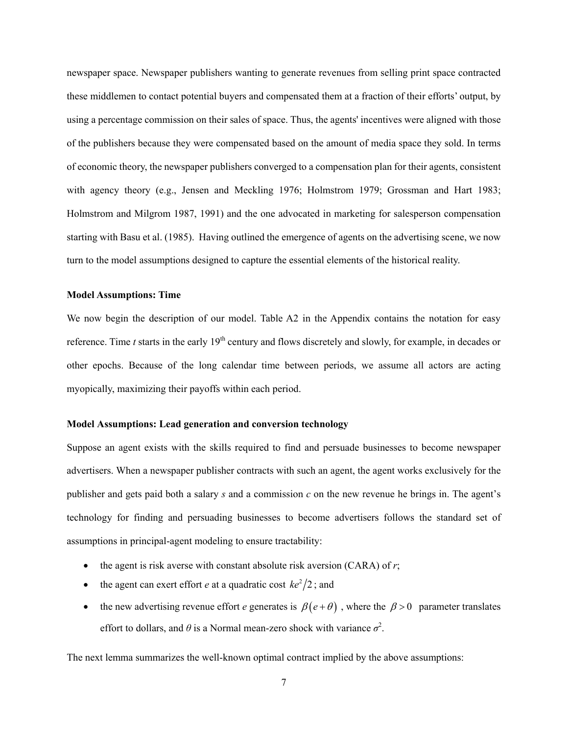newspaper space. Newspaper publishers wanting to generate revenues from selling print space contracted these middlemen to contact potential buyers and compensated them at a fraction of their efforts' output, by using a percentage commission on their sales of space. Thus, the agents' incentives were aligned with those of the publishers because they were compensated based on the amount of media space they sold. In terms of economic theory, the newspaper publishers converged to a compensation plan for their agents, consistent with agency theory (e.g., Jensen and Meckling 1976; Holmstrom 1979; Grossman and Hart 1983; Holmstrom and Milgrom 1987, 1991) and the one advocated in marketing for salesperson compensation starting with Basu et al. (1985). Having outlined the emergence of agents on the advertising scene, we now turn to the model assumptions designed to capture the essential elements of the historical reality.

#### **Model Assumptions: Time**

We now begin the description of our model. Table A2 in the Appendix contains the notation for easy reference. Time *t* starts in the early 19<sup>th</sup> century and flows discretely and slowly, for example, in decades or other epochs. Because of the long calendar time between periods, we assume all actors are acting myopically, maximizing their payoffs within each period.

#### **Model Assumptions: Lead generation and conversion technology**

Suppose an agent exists with the skills required to find and persuade businesses to become newspaper advertisers. When a newspaper publisher contracts with such an agent, the agent works exclusively for the publisher and gets paid both a salary *s* and a commission *c* on the new revenue he brings in. The agent's technology for finding and persuading businesses to become advertisers follows the standard set of assumptions in principal-agent modeling to ensure tractability:

- the agent is risk averse with constant absolute risk aversion (CARA) of *r*;
- the agent can exert effort *e* at a quadratic cost  $ke^2/2$ ; and
- the new advertising revenue effort *e* generates is  $\beta(e+\theta)$ , where the  $\beta > 0$  parameter translates effort to dollars, and  $\theta$  is a Normal mean-zero shock with variance  $\sigma^2$ .

The next lemma summarizes the well-known optimal contract implied by the above assumptions: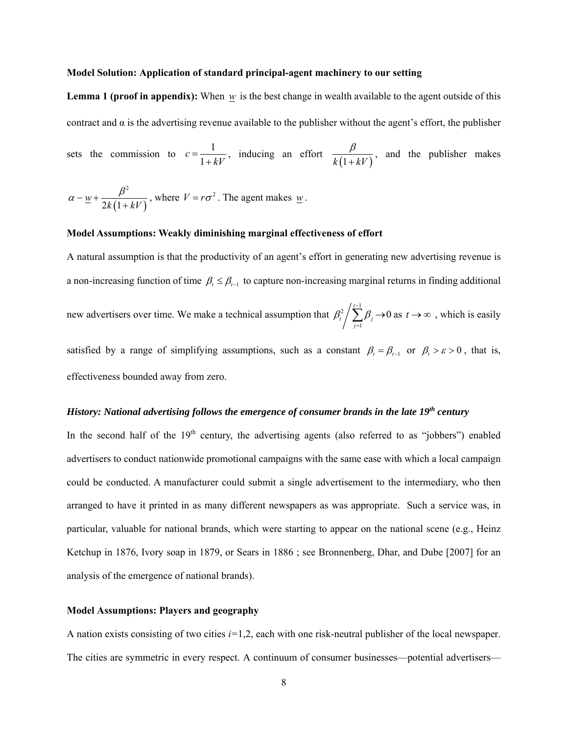#### **Model Solution: Application of standard principal-agent machinery to our setting**

**Lemma 1 (proof in appendix):** When  $w$  is the best change in wealth available to the agent outside of this contract and  $\alpha$  is the advertising revenue available to the publisher without the agent's effort, the publisher

sets the commission to  $c = \frac{1}{\sqrt{2}}$ 1  $c = \frac{1}{1 + kV}$ , inducing an effort  $\frac{\beta}{k(1 + kV)}$  $\ddot{}$ , and the publisher makes

$$
\alpha - \underline{w} + \frac{\beta^2}{2k(1 + kV)}
$$
, where  $V = r\sigma^2$ . The agent makes  $\underline{w}$ .

### **Model Assumptions: Weakly diminishing marginal effectiveness of effort**

A natural assumption is that the productivity of an agent's effort in generating new advertising revenue is a non-increasing function of time  $\beta_t \leq \beta_{t-1}$  to capture non-increasing marginal returns in finding additional new advertisers over time. We make a technical assumption that  $\beta_r^2 / \sum_{n=1}^{r-1}$ 1  $\sum_{i=1}^{t-1} \beta_i \rightarrow 0$  $\sum_{j=1}^t \mu_j$  $\beta_t^2/\sum \beta_t$ - $\sum_{j=1}$   $\beta_j \rightarrow 0$  as  $t \rightarrow \infty$ , which is easily satisfied by a range of simplifying assumptions, such as a constant  $\beta_t = \beta_{t-1}$  or  $\beta_t > \varepsilon > 0$ , that is, effectiveness bounded away from zero.

#### *History: National advertising follows the emergence of consumer brands in the late 19<sup>th</sup> century*

In the second half of the  $19<sup>th</sup>$  century, the advertising agents (also referred to as "jobbers") enabled advertisers to conduct nationwide promotional campaigns with the same ease with which a local campaign could be conducted. A manufacturer could submit a single advertisement to the intermediary, who then arranged to have it printed in as many different newspapers as was appropriate. Such a service was, in particular, valuable for national brands, which were starting to appear on the national scene (e.g., Heinz Ketchup in 1876, Ivory soap in 1879, or Sears in 1886 ; see Bronnenberg, Dhar, and Dube [2007] for an analysis of the emergence of national brands).

#### **Model Assumptions: Players and geography**

A nation exists consisting of two cities *i=*1,2, each with one risk-neutral publisher of the local newspaper. The cities are symmetric in every respect. A continuum of consumer businesses—potential advertisers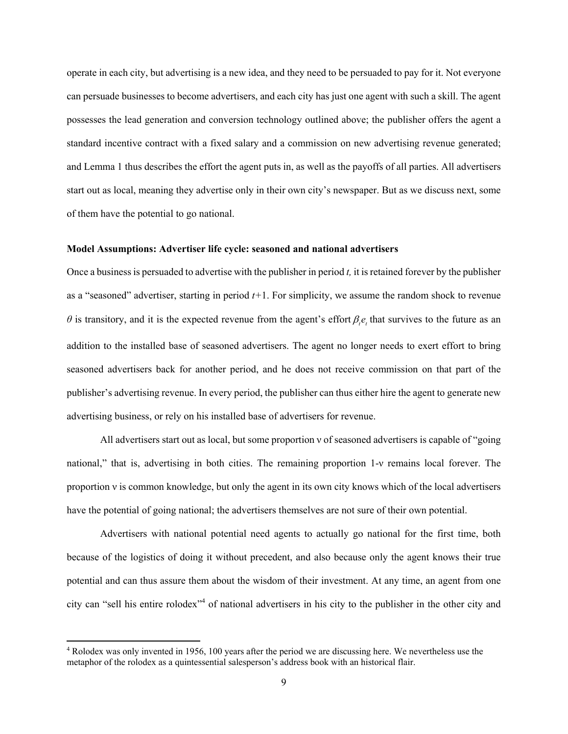operate in each city, but advertising is a new idea, and they need to be persuaded to pay for it. Not everyone can persuade businesses to become advertisers, and each city has just one agent with such a skill. The agent possesses the lead generation and conversion technology outlined above; the publisher offers the agent a standard incentive contract with a fixed salary and a commission on new advertising revenue generated; and Lemma 1 thus describes the effort the agent puts in, as well as the payoffs of all parties. All advertisers start out as local, meaning they advertise only in their own city's newspaper. But as we discuss next, some of them have the potential to go national.

#### **Model Assumptions: Advertiser life cycle: seasoned and national advertisers**

Once a business is persuaded to advertise with the publisher in period *t,* it is retained forever by the publisher as a "seasoned" advertiser, starting in period *t+*1. For simplicity, we assume the random shock to revenue  $\theta$  is transitory, and it is the expected revenue from the agent's effort  $\beta_i e_i$ , that survives to the future as an addition to the installed base of seasoned advertisers. The agent no longer needs to exert effort to bring seasoned advertisers back for another period, and he does not receive commission on that part of the publisher's advertising revenue. In every period, the publisher can thus either hire the agent to generate new advertising business, or rely on his installed base of advertisers for revenue.

All advertisers start out as local, but some proportion ν of seasoned advertisers is capable of "going national," that is, advertising in both cities. The remaining proportion 1-ν remains local forever. The proportion ν is common knowledge, but only the agent in its own city knows which of the local advertisers have the potential of going national; the advertisers themselves are not sure of their own potential.

Advertisers with national potential need agents to actually go national for the first time, both because of the logistics of doing it without precedent, and also because only the agent knows their true potential and can thus assure them about the wisdom of their investment. At any time, an agent from one city can "sell his entire rolodex"<sup>4</sup> of national advertisers in his city to the publisher in the other city and

<sup>4</sup> Rolodex was only invented in 1956, 100 years after the period we are discussing here. We nevertheless use the metaphor of the rolodex as a quintessential salesperson's address book with an historical flair.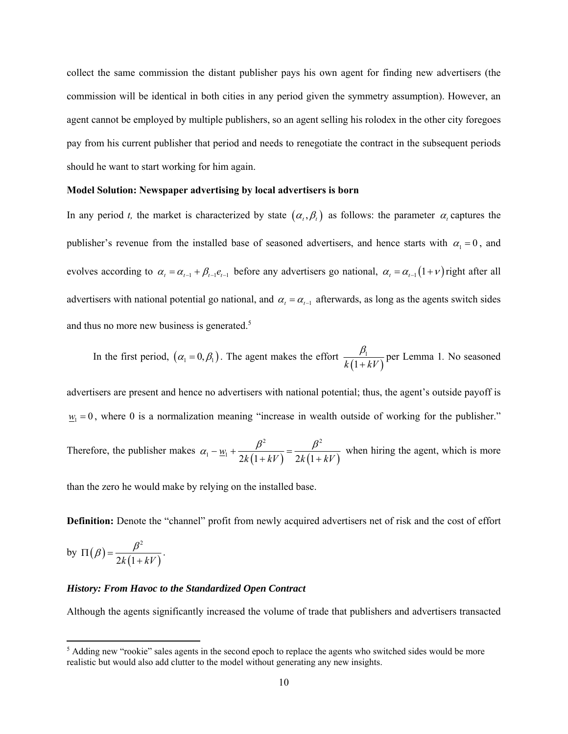collect the same commission the distant publisher pays his own agent for finding new advertisers (the commission will be identical in both cities in any period given the symmetry assumption). However, an agent cannot be employed by multiple publishers, so an agent selling his rolodex in the other city foregoes pay from his current publisher that period and needs to renegotiate the contract in the subsequent periods should he want to start working for him again.

#### **Model Solution: Newspaper advertising by local advertisers is born**

In any period *t*, the market is characterized by state  $(\alpha_t, \beta_t)$  as follows: the parameter  $\alpha_t$  captures the publisher's revenue from the installed base of seasoned advertisers, and hence starts with  $\alpha_1 = 0$ , and evolves according to  $\alpha_t = \alpha_{t-1} + \beta_{t-1} e_{t-1}$  before any advertisers go national,  $\alpha_t = \alpha_{t-1} (1+\nu)$  right after all advertisers with national potential go national, and  $\alpha_t = \alpha_{t-1}$  afterwards, as long as the agents switch sides and thus no more new business is generated.<sup>5</sup>

In the first period,  $(\alpha_1 = 0, \beta_1)$ . The agent makes the effort  $\frac{\beta_1}{k(1+kV)}$  $\beta_{\scriptscriptstyle 1}$  $^{+}$ per Lemma 1*.* No seasoned

advertisers are present and hence no advertisers with national potential; thus, the agent's outside payoff is  $w_1 = 0$ , where 0 is a normalization meaning "increase in wealth outside of working for the publisher."

Therefore, the publisher makes  $\alpha_1 - \underline{w}_1 + \frac{\mu}{2k(1+kV)} = \frac{\mu}{2k(1+kV)}$ 2  $\rho^2$  $\frac{w_1}{2k(1+kV)} = \frac{P}{2k(1+kV)}$  $k(1+kV)$   $2k(1+kV)$  $\alpha_1 - w_1 + \frac{\beta^2}{\gamma^2} = \frac{\beta}{\gamma^2}$  $+ kV$ )  $2k(1+$ when hiring the agent, which is more

than the zero he would make by relying on the installed base.

**Definition:** Denote the "channel" profit from newly acquired advertisers net of risk and the cost of effort

by 
$$
\Pi(\beta) = \frac{\beta^2}{2k(1+kV)}
$$
.

#### *History: From Havoc to the Standardized Open Contract*

Although the agents significantly increased the volume of trade that publishers and advertisers transacted

<sup>&</sup>lt;sup>5</sup> Adding new "rookie" sales agents in the second epoch to replace the agents who switched sides would be more realistic but would also add clutter to the model without generating any new insights.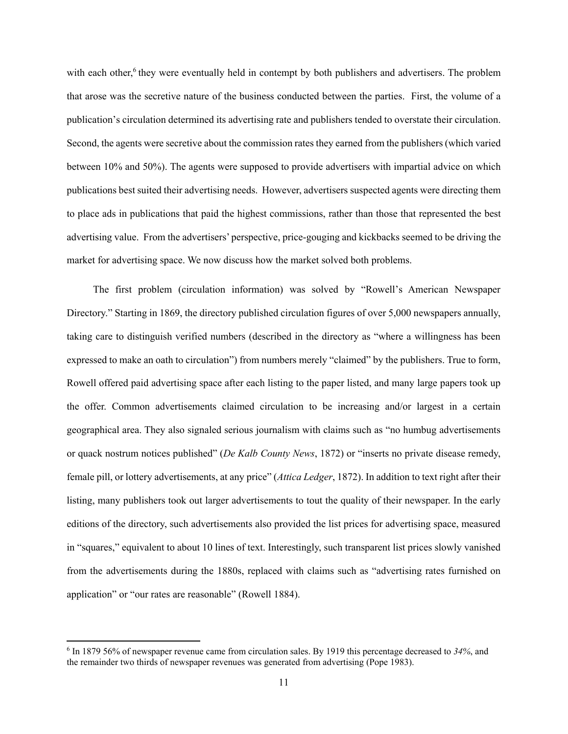with each other,<sup>6</sup> they were eventually held in contempt by both publishers and advertisers. The problem that arose was the secretive nature of the business conducted between the parties. First, the volume of a publication's circulation determined its advertising rate and publishers tended to overstate their circulation. Second, the agents were secretive about the commission rates they earned from the publishers (which varied between 10% and 50%). The agents were supposed to provide advertisers with impartial advice on which publications best suited their advertising needs. However, advertisers suspected agents were directing them to place ads in publications that paid the highest commissions, rather than those that represented the best advertising value. From the advertisers' perspective, price-gouging and kickbacks seemed to be driving the market for advertising space. We now discuss how the market solved both problems.

The first problem (circulation information) was solved by "Rowell's American Newspaper Directory." Starting in 1869, the directory published circulation figures of over 5,000 newspapers annually, taking care to distinguish verified numbers (described in the directory as "where a willingness has been expressed to make an oath to circulation") from numbers merely "claimed" by the publishers. True to form, Rowell offered paid advertising space after each listing to the paper listed, and many large papers took up the offer. Common advertisements claimed circulation to be increasing and/or largest in a certain geographical area. They also signaled serious journalism with claims such as "no humbug advertisements or quack nostrum notices published" (*De Kalb County News*, 1872) or "inserts no private disease remedy, female pill, or lottery advertisements, at any price" (*Attica Ledger*, 1872). In addition to text right after their listing, many publishers took out larger advertisements to tout the quality of their newspaper. In the early editions of the directory, such advertisements also provided the list prices for advertising space, measured in "squares," equivalent to about 10 lines of text. Interestingly, such transparent list prices slowly vanished from the advertisements during the 1880s, replaced with claims such as "advertising rates furnished on application" or "our rates are reasonable" (Rowell 1884).

<sup>6</sup> In 1879 56% of newspaper revenue came from circulation sales. By 1919 this percentage decreased to *34%*, and the remainder two thirds of newspaper revenues was generated from advertising (Pope 1983).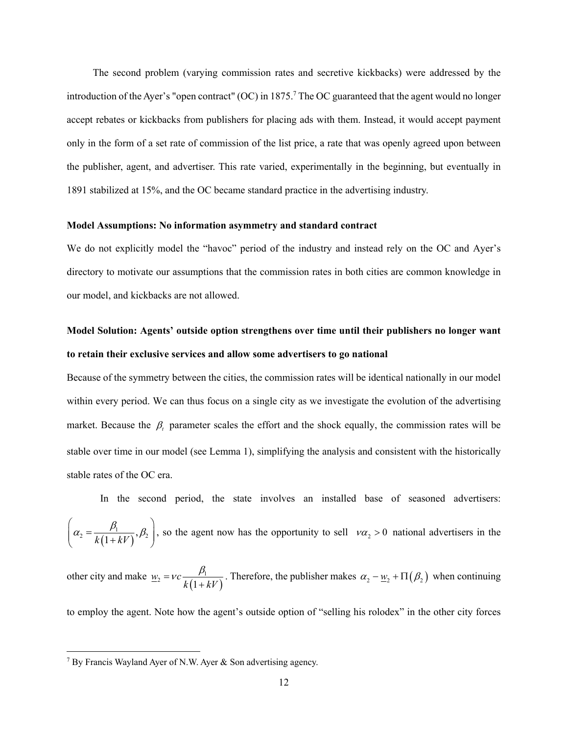The second problem (varying commission rates and secretive kickbacks) were addressed by the introduction of the Ayer's "open contract" (OC) in 1875.<sup>7</sup> The OC guaranteed that the agent would no longer accept rebates or kickbacks from publishers for placing ads with them. Instead, it would accept payment only in the form of a set rate of commission of the list price, a rate that was openly agreed upon between the publisher, agent, and advertiser. This rate varied, experimentally in the beginning, but eventually in 1891 stabilized at 15%, and the OC became standard practice in the advertising industry.

#### **Model Assumptions: No information asymmetry and standard contract**

We do not explicitly model the "havoc" period of the industry and instead rely on the OC and Ayer's directory to motivate our assumptions that the commission rates in both cities are common knowledge in our model, and kickbacks are not allowed.

# **Model Solution: Agents' outside option strengthens over time until their publishers no longer want to retain their exclusive services and allow some advertisers to go national**

Because of the symmetry between the cities, the commission rates will be identical nationally in our model within every period. We can thus focus on a single city as we investigate the evolution of the advertising market. Because the  $\beta_t$  parameter scales the effort and the shock equally, the commission rates will be stable over time in our model (see Lemma 1), simplifying the analysis and consistent with the historically stable rates of the OC era.

In the second period, the state involves an installed base of seasoned advertisers:  $\left(\alpha_2 = \frac{\beta_1}{k(1+kV)}, \beta_2\right)$ , so the agent now has the opportunity to sell  $v\alpha_2 > 0$  national advertisers in the

other city and make  $w_2 = vc \frac{P_1}{k(1 + kV)}$  $k(1+kV)$  $=vc\frac{\beta_1}{\beta_2}$  $\frac{\mu_1}{\mu_1 + kV}$ . Therefore, the publisher makes  $\alpha_2 - \underline{w}_2 + \Pi(\beta_2)$  when continuing

to employ the agent. Note how the agent's outside option of "selling his rolodex" in the other city forces

<sup>&</sup>lt;sup>7</sup> By Francis Wayland Ayer of N.W. Ayer & Son advertising agency.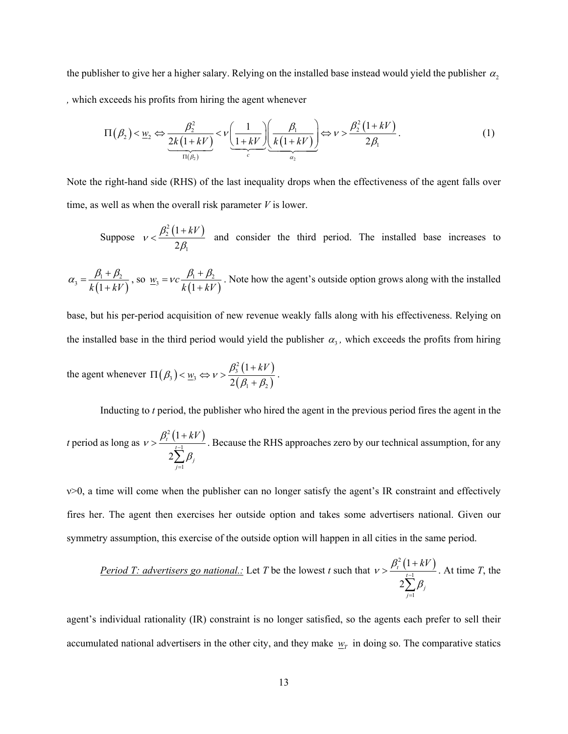the publisher to give her a higher salary. Relying on the installed base instead would yield the publisher  $\alpha_2$ *,* which exceeds his profits from hiring the agent whenever

$$
\Pi(\beta_2) < \underline{w}_2 \Leftrightarrow \underbrace{\frac{\beta_2^2}{2k(1+kV)}}_{\Pi(\beta_2)} < \nu \underbrace{\left(\frac{1}{1+kV}\right)}_{c} \underbrace{\left(\frac{\beta_1}{k(1+kV)}\right)}_{\alpha_2} \Leftrightarrow \nu > \frac{\beta_2^2\left(1+kV\right)}{2\beta_1}.
$$
\n<sup>(1)</sup>

Note the right-hand side (RHS) of the last inequality drops when the effectiveness of the agent falls over time, as well as when the overall risk parameter *V* is lower.

Suppose  $v < \frac{\beta_2^2 (1 + kV)}{2}$ 1 1 2  $v < \frac{\beta_2^2 (1 + kV)}{2\beta_1}$  $\leq \frac{\beta_2^2(1+kV)}{2}$  and consider the third period. The installed base increases to

 $(1+kV)$  $k_3 = \frac{p_1 + p_2}{k(1 + kV)}$  $\alpha_3 = \frac{\beta_1 + \beta_2}{k(1 + kV)}$ , so  $\underline{w}_3 = vc \frac{\beta_1 + \beta_2}{k(1 + kV)}$  $k(1+kV)$ =  $vc \frac{\beta_1 + \beta_2}{k(1 + kV)}$ . Note how the agent's outside option grows along with the installed

base, but his per-period acquisition of new revenue weakly falls along with his effectiveness. Relying on the installed base in the third period would yield the publisher  $\alpha_3$ , which exceeds the profits from hiring

the agent whenever  $\Pi(\beta_1) < \underline{w}_1 \Leftrightarrow v > \frac{\beta_3^2 (1 + kV)}{2(1 - \beta_1)}$  $(\beta_1+\beta_2)$  $\mathcal{L}_3$ ) <  $\underline{w}_3 \Leftrightarrow v > \frac{\beta_3^2}{26}$  $1 + \nu_2$ 1 2  $\Pi(\beta_3) < \underline{w}_3 \Leftrightarrow \nu > \frac{\beta_3^2 (1 + kV)}{2(\beta_1 + \beta_2)}.$ 

Inducting to *t* period, the publisher who hired the agent in the previous period fires the agent in the

*t* period as long as  $v > \frac{\beta_t^2 (1 + kV)}{1 - 1}$ 1 1 2 *t t*  $\sum_{j=1}$  $P_j$  $v > \frac{\beta_t^2 (1 + kV)}{2}$  $_{\beta}$  $\overline{a}$ =  $>\frac{\beta_t^2(1+)}{1}$  $\sum$ . Because the RHS approaches zero by our technical assumption, for any

 $v>0$ , a time will come when the publisher can no longer satisfy the agent's IR constraint and effectively fires her. The agent then exercises her outside option and takes some advertisers national. Given our symmetry assumption, this exercise of the outside option will happen in all cities in the same period.

Period T: advertisers go national: Let T be the lowest t such that 
$$
v > \frac{\beta_t^2 (1 + kV)}{2 \sum_{j=1}^{t-1} \beta_j}
$$
. At time T, the

agent's individual rationality (IR) constraint is no longer satisfied, so the agents each prefer to sell their accumulated national advertisers in the other city, and they make  $w_T$  in doing so. The comparative statics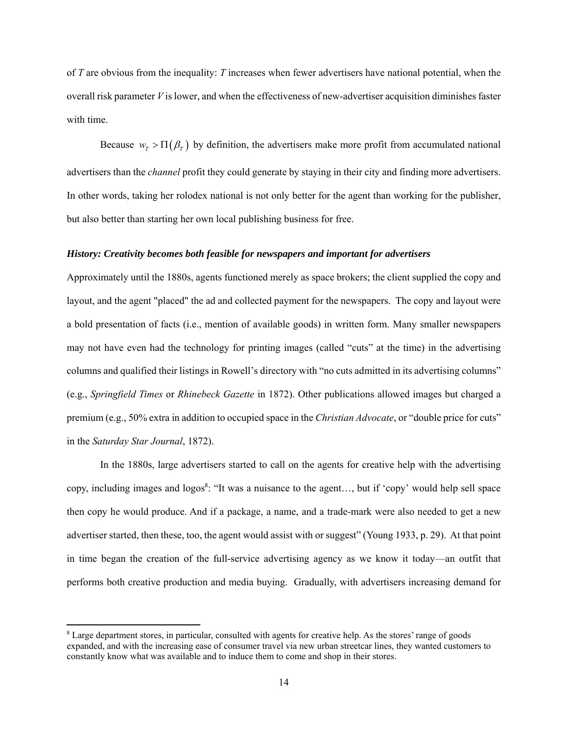of *T* are obvious from the inequality: *T* increases when fewer advertisers have national potential, when the overall risk parameter *V* is lower, and when the effectiveness of new-advertiser acquisition diminishes faster with time.

Because  $w_{\tau} > \Pi(\beta_{\tau})$  by definition, the advertisers make more profit from accumulated national advertisers than the *channel* profit they could generate by staying in their city and finding more advertisers. In other words, taking her rolodex national is not only better for the agent than working for the publisher, but also better than starting her own local publishing business for free.

#### *History: Creativity becomes both feasible for newspapers and important for advertisers*

Approximately until the 1880s, agents functioned merely as space brokers; the client supplied the copy and layout, and the agent "placed" the ad and collected payment for the newspapers. The copy and layout were a bold presentation of facts (i.e., mention of available goods) in written form. Many smaller newspapers may not have even had the technology for printing images (called "cuts" at the time) in the advertising columns and qualified their listings in Rowell's directory with "no cuts admitted in its advertising columns" (e.g., *Springfield Times* or *Rhinebeck Gazette* in 1872). Other publications allowed images but charged a premium (e.g., 50% extra in addition to occupied space in the *Christian Advocate*, or "double price for cuts" in the *Saturday Star Journal*, 1872).

In the 1880s, large advertisers started to call on the agents for creative help with the advertising copy, including images and logos<sup>8</sup>: "It was a nuisance to the agent..., but if 'copy' would help sell space then copy he would produce. And if a package, a name, and a trade-mark were also needed to get a new advertiser started, then these, too, the agent would assist with or suggest" (Young 1933, p. 29). At that point in time began the creation of the full-service advertising agency as we know it today—an outfit that performs both creative production and media buying. Gradually, with advertisers increasing demand for

<sup>&</sup>lt;sup>8</sup> Large department stores, in particular, consulted with agents for creative help. As the stores' range of goods expanded, and with the increasing ease of consumer travel via new urban streetcar lines, they wanted customers to constantly know what was available and to induce them to come and shop in their stores.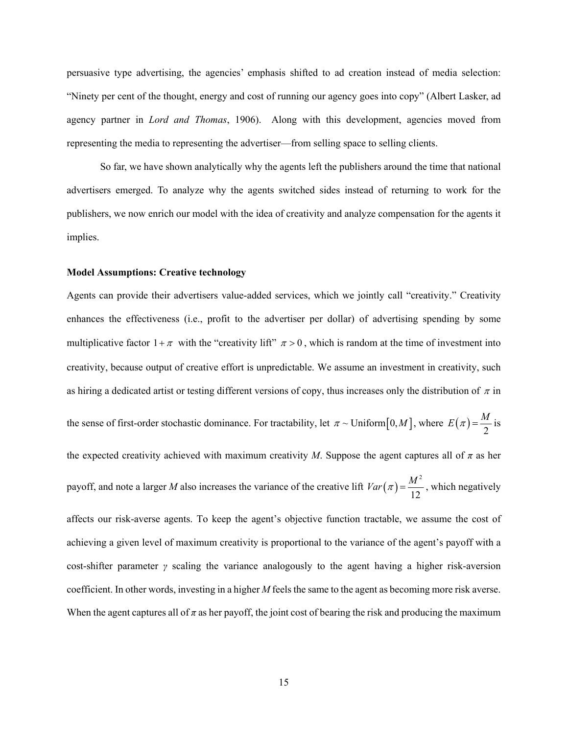persuasive type advertising, the agencies' emphasis shifted to ad creation instead of media selection: "Ninety per cent of the thought, energy and cost of running our agency goes into copy" (Albert Lasker, ad agency partner in *Lord and Thomas*, 1906). Along with this development, agencies moved from representing the media to representing the advertiser—from selling space to selling clients.

So far, we have shown analytically why the agents left the publishers around the time that national advertisers emerged. To analyze why the agents switched sides instead of returning to work for the publishers, we now enrich our model with the idea of creativity and analyze compensation for the agents it implies.

#### **Model Assumptions: Creative technology**

Agents can provide their advertisers value-added services, which we jointly call "creativity." Creativity enhances the effectiveness (i.e., profit to the advertiser per dollar) of advertising spending by some multiplicative factor  $1 + \pi$  with the "creativity lift"  $\pi > 0$ , which is random at the time of investment into creativity, because output of creative effort is unpredictable. We assume an investment in creativity, such as hiring a dedicated artist or testing different versions of copy, thus increases only the distribution of  $\pi$  in the sense of first-order stochastic dominance. For tractability, let  $\pi \sim$  Uniform  $[0, M]$ , where  $E(\pi) = \frac{M}{2}$  is the expected creativity achieved with maximum creativity *M*. Suppose the agent captures all of  $\pi$  as her payoff, and note a larger *M* also increases the variance of the creative lift  $Var(\pi) = \frac{M^2}{2\pi\epsilon^2}$ 12  $Var(\pi) = \frac{M^2}{4\pi R}$ , which negatively affects our risk-averse agents. To keep the agent's objective function tractable, we assume the cost of achieving a given level of maximum creativity is proportional to the variance of the agent's payoff with a cost-shifter parameter *γ* scaling the variance analogously to the agent having a higher risk-aversion coefficient. In other words, investing in a higher *M* feels the same to the agent as becoming more risk averse. When the agent captures all of  $\pi$  as her payoff, the joint cost of bearing the risk and producing the maximum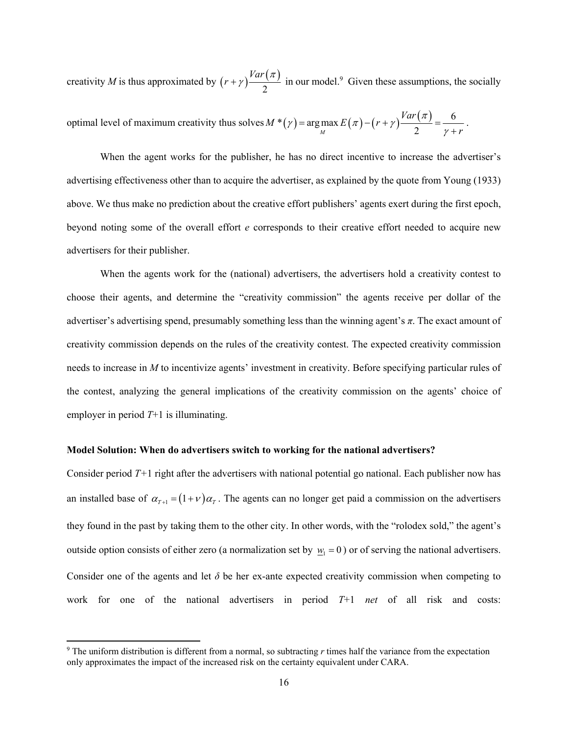creativity *M* is thus approximated by  $(r + \gamma) \frac{Var(\pi)}{2}$  $(r + \gamma) \frac{Var(\pi)}{Var(\pi)}$  in our model.<sup>9</sup> Given these assumptions, the socially

optimal level of maximum creativity thus solves 
$$
M^*(\gamma)
$$
 = arg max  $E(\pi) - (r + \gamma) \frac{Var(\pi)}{2} = \frac{6}{\gamma + r}$ .

When the agent works for the publisher, he has no direct incentive to increase the advertiser's advertising effectiveness other than to acquire the advertiser, as explained by the quote from Young (1933) above. We thus make no prediction about the creative effort publishers' agents exert during the first epoch, beyond noting some of the overall effort *e* corresponds to their creative effort needed to acquire new advertisers for their publisher.

When the agents work for the (national) advertisers, the advertisers hold a creativity contest to choose their agents, and determine the "creativity commission" the agents receive per dollar of the advertiser's advertising spend, presumably something less than the winning agent's *π*. The exact amount of creativity commission depends on the rules of the creativity contest. The expected creativity commission needs to increase in *M* to incentivize agents' investment in creativity. Before specifying particular rules of the contest, analyzing the general implications of the creativity commission on the agents' choice of employer in period *T*+1 is illuminating.

#### **Model Solution: When do advertisers switch to working for the national advertisers?**

Consider period *T+*1 right after the advertisers with national potential go national. Each publisher now has an installed base of  $\alpha_{T+1} = (1+\nu)\alpha_T$ . The agents can no longer get paid a commission on the advertisers they found in the past by taking them to the other city. In other words, with the "rolodex sold," the agent's outside option consists of either zero (a normalization set by  $w_1 = 0$ ) or of serving the national advertisers. Consider one of the agents and let  $\delta$  be her ex-ante expected creativity commission when competing to work for one of the national advertisers in period *T*+1 *net* of all risk and costs:

<sup>9</sup> The uniform distribution is different from a normal, so subtracting *r* times half the variance from the expectation only approximates the impact of the increased risk on the certainty equivalent under CARA.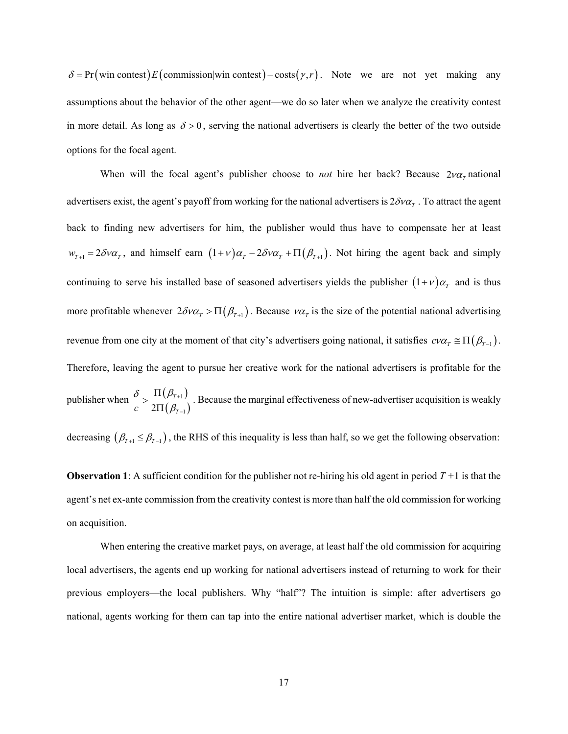$\delta = \Pr(\text{win contest}) E(\text{commission}|\text{win contest}) - \text{costs} (\gamma, r)$ . Note we are not yet making any assumptions about the behavior of the other agent—we do so later when we analyze the creativity contest in more detail. As long as  $\delta > 0$ , serving the national advertisers is clearly the better of the two outside options for the focal agent.

When will the focal agent's publisher choose to *not* hire her back? Because  $2\nu\alpha_r$  national advertisers exist, the agent's payoff from working for the national advertisers is  $2\delta v \alpha<sub>r</sub>$ . To attract the agent back to finding new advertisers for him, the publisher would thus have to compensate her at least  $w_{T+1} = 2\delta v \alpha_T$ , and himself earn  $(1+v)\alpha_T - 2\delta v \alpha_T + \Pi(\beta_{T+1})$ . Not hiring the agent back and simply continuing to serve his installed base of seasoned advertisers yields the publisher  $(1+\nu)\alpha_r$  and is thus more profitable whenever  $2\delta v\alpha_T > \Pi(\beta_{T+1})$ . Because  $v\alpha_T$  is the size of the potential national advertising revenue from one city at the moment of that city's advertisers going national, it satisfies  $c\nu\alpha_T \equiv \Pi(\beta_{T-1})$ . Therefore, leaving the agent to pursue her creative work for the national advertisers is profitable for the publisher when  $\frac{\delta}{\delta} > \frac{\Pi(\beta_{T+1})}{\Pi(\beta_{T+1})}$  $(\beta_{\scriptscriptstyle \tau -1})$ 1  $2\Pi\big(\beta_{\scriptscriptstyle T-1}$ *T*  $c-2\Pi(\beta_{\scriptscriptstyle T}$  $\delta$   $\Pi(\beta$  $\beta_{\rm i}$  $^{+}$  $\overline{a}$  $>\frac{\Pi(\beta_{T+1})}{2\Pi(\beta_{T-1})}$ . Because the marginal effectiveness of new-advertiser acquisition is weakly decreasing  $(\beta_{T+1} \leq \beta_{T-1})$ , the RHS of this inequality is less than half, so we get the following observation:

**Observation 1**: A sufficient condition for the publisher not re-hiring his old agent in period  $T + 1$  is that the agent's net ex-ante commission from the creativity contest is more than half the old commission for working on acquisition.

When entering the creative market pays, on average, at least half the old commission for acquiring local advertisers, the agents end up working for national advertisers instead of returning to work for their previous employers—the local publishers. Why "half"? The intuition is simple: after advertisers go national, agents working for them can tap into the entire national advertiser market, which is double the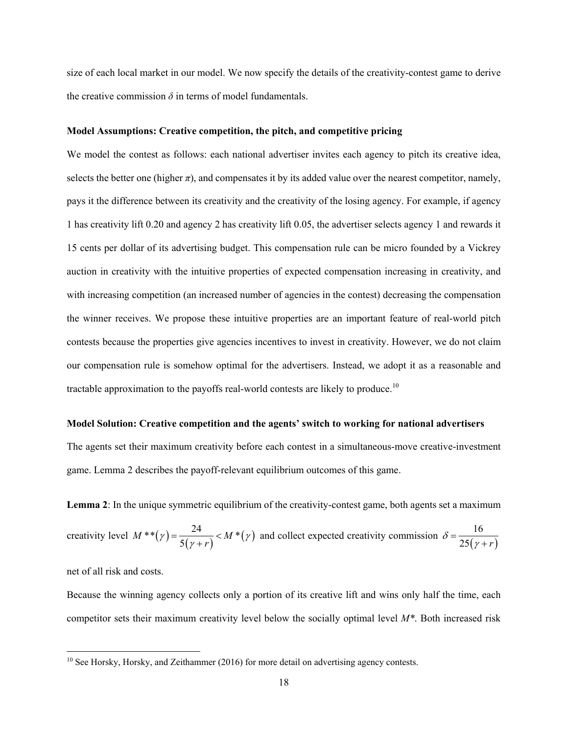size of each local market in our model. We now specify the details of the creativity-contest game to derive the creative commission  $\delta$  in terms of model fundamentals.

#### **Model Assumptions: Creative competition, the pitch, and competitive pricing**

We model the contest as follows: each national advertiser invites each agency to pitch its creative idea, selects the better one (higher  $\pi$ ), and compensates it by its added value over the nearest competitor, namely, pays it the difference between its creativity and the creativity of the losing agency. For example, if agency 1 has creativity lift 0.20 and agency 2 has creativity lift 0.05, the advertiser selects agency 1 and rewards it 15 cents per dollar of its advertising budget. This compensation rule can be micro founded by a Vickrey auction in creativity with the intuitive properties of expected compensation increasing in creativity, and with increasing competition (an increased number of agencies in the contest) decreasing the compensation the winner receives. We propose these intuitive properties are an important feature of real-world pitch contests because the properties give agencies incentives to invest in creativity. However, we do not claim our compensation rule is somehow optimal for the advertisers. Instead, we adopt it as a reasonable and tractable approximation to the payoffs real-world contests are likely to produce.<sup>10</sup>

#### **Model Solution: Creative competition and the agents' switch to working for national advertisers**

The agents set their maximum creativity before each contest in a simultaneous-move creative-investment game. Lemma 2 describes the payoff-relevant equilibrium outcomes of this game.

**Lemma 2**: In the unique symmetric equilibrium of the creativity-contest game, both agents set a maximum

creativity level 
$$
M^{**}(\gamma) = \frac{24}{5(\gamma + r)} < M^{*}(\gamma)
$$
 and collect expected creativity commission  $\delta = \frac{16}{25(\gamma + r)}$ 

net of all risk and costs.

Because the winning agency collects only a portion of its creative lift and wins only half the time, each competitor sets their maximum creativity level below the socially optimal level *M\**. Both increased risk

<sup>&</sup>lt;sup>10</sup> See Horsky, Horsky, and Zeithammer (2016) for more detail on advertising agency contests.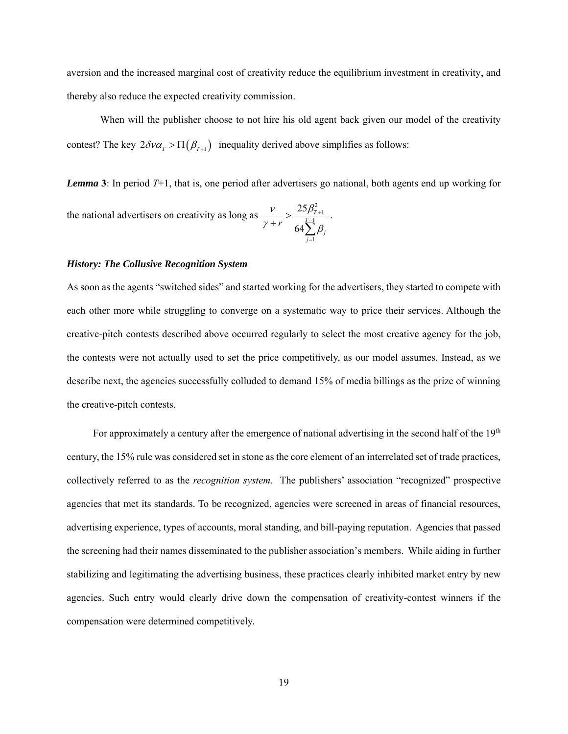aversion and the increased marginal cost of creativity reduce the equilibrium investment in creativity, and thereby also reduce the expected creativity commission.

When will the publisher choose to not hire his old agent back given our model of the creativity contest? The key  $2\delta v \alpha_{T} > \Pi(\beta_{T+1})$  inequality derived above simplifies as follows:

*Lemma* **3**: In period *T*+1, that is, one period after advertisers go national, both agents end up working for the national advertisers on creativity as long as  $\frac{3^2}{1}$ 25 64  $\frac{\rho_{T}}{T-1}$  $\sum_{j=1}$  $P_j$ *r*  $v = 25\beta$  $\gamma + r$  64 $\sum \beta$  $\frac{U_{T+}}{-1}$  $>$  $+r \ 64\sum_{0}^{T-1}$ .

1

 $=$ 

#### *History: The Collusive Recognition System*

As soon as the agents "switched sides" and started working for the advertisers, they started to compete with each other more while struggling to converge on a systematic way to price their services. Although the creative-pitch contests described above occurred regularly to select the most creative agency for the job, the contests were not actually used to set the price competitively, as our model assumes. Instead, as we describe next, the agencies successfully colluded to demand 15% of media billings as the prize of winning the creative-pitch contests.

For approximately a century after the emergence of national advertising in the second half of the 19<sup>th</sup> century, the 15% rule was considered set in stone as the core element of an interrelated set of trade practices, collectively referred to as the *recognition system*. The publishers' association "recognized" prospective agencies that met its standards. To be recognized, agencies were screened in areas of financial resources, advertising experience, types of accounts, moral standing, and bill-paying reputation. Agencies that passed the screening had their names disseminated to the publisher association's members. While aiding in further stabilizing and legitimating the advertising business, these practices clearly inhibited market entry by new agencies. Such entry would clearly drive down the compensation of creativity-contest winners if the compensation were determined competitively.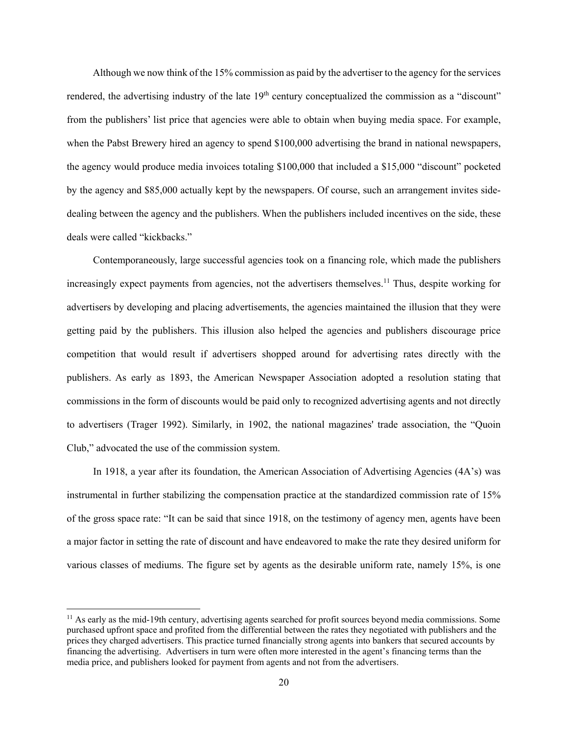Although we now think of the 15% commission as paid by the advertiser to the agency for the services rendered, the advertising industry of the late  $19<sup>th</sup>$  century conceptualized the commission as a "discount" from the publishers' list price that agencies were able to obtain when buying media space. For example, when the Pabst Brewery hired an agency to spend \$100,000 advertising the brand in national newspapers, the agency would produce media invoices totaling \$100,000 that included a \$15,000 "discount" pocketed by the agency and \$85,000 actually kept by the newspapers. Of course, such an arrangement invites sidedealing between the agency and the publishers. When the publishers included incentives on the side, these deals were called "kickbacks."

Contemporaneously, large successful agencies took on a financing role, which made the publishers increasingly expect payments from agencies, not the advertisers themselves.<sup>11</sup> Thus, despite working for advertisers by developing and placing advertisements, the agencies maintained the illusion that they were getting paid by the publishers. This illusion also helped the agencies and publishers discourage price competition that would result if advertisers shopped around for advertising rates directly with the publishers. As early as 1893, the American Newspaper Association adopted a resolution stating that commissions in the form of discounts would be paid only to recognized advertising agents and not directly to advertisers (Trager 1992). Similarly, in 1902, the national magazines' trade association, the "Quoin Club," advocated the use of the commission system.

In 1918, a year after its foundation, the American Association of Advertising Agencies (4A's) was instrumental in further stabilizing the compensation practice at the standardized commission rate of 15% of the gross space rate: "It can be said that since 1918, on the testimony of agency men, agents have been a major factor in setting the rate of discount and have endeavored to make the rate they desired uniform for various classes of mediums. The figure set by agents as the desirable uniform rate, namely 15%, is one

<sup>&</sup>lt;sup>11</sup> As early as the mid-19th century, advertising agents searched for profit sources beyond media commissions. Some purchased upfront space and profited from the differential between the rates they negotiated with publishers and the prices they charged advertisers. This practice turned financially strong agents into bankers that secured accounts by financing the advertising. Advertisers in turn were often more interested in the agent's financing terms than the media price, and publishers looked for payment from agents and not from the advertisers.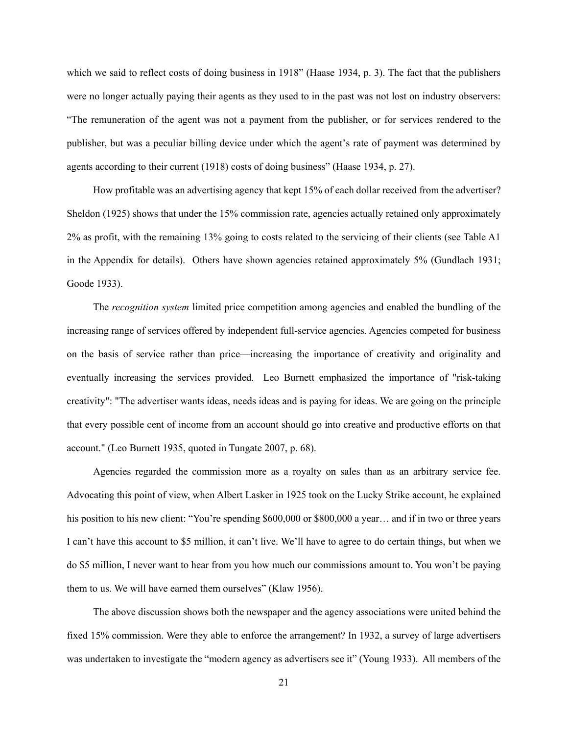which we said to reflect costs of doing business in 1918" (Haase 1934, p. 3). The fact that the publishers were no longer actually paying their agents as they used to in the past was not lost on industry observers: "The remuneration of the agent was not a payment from the publisher, or for services rendered to the publisher, but was a peculiar billing device under which the agent's rate of payment was determined by agents according to their current (1918) costs of doing business" (Haase 1934, p. 27).

How profitable was an advertising agency that kept 15% of each dollar received from the advertiser? Sheldon (1925) shows that under the 15% commission rate, agencies actually retained only approximately 2% as profit, with the remaining 13% going to costs related to the servicing of their clients (see Table A1 in the Appendix for details). Others have shown agencies retained approximately 5% (Gundlach 1931; Goode 1933).

The *recognition system* limited price competition among agencies and enabled the bundling of the increasing range of services offered by independent full-service agencies. Agencies competed for business on the basis of service rather than price—increasing the importance of creativity and originality and eventually increasing the services provided. Leo Burnett emphasized the importance of "risk-taking creativity": "The advertiser wants ideas, needs ideas and is paying for ideas. We are going on the principle that every possible cent of income from an account should go into creative and productive efforts on that account." (Leo Burnett 1935, quoted in Tungate 2007, p. 68).

Agencies regarded the commission more as a royalty on sales than as an arbitrary service fee. Advocating this point of view, when Albert Lasker in 1925 took on the Lucky Strike account, he explained his position to his new client: "You're spending \$600,000 or \$800,000 a year... and if in two or three years I can't have this account to \$5 million, it can't live. We'll have to agree to do certain things, but when we do \$5 million, I never want to hear from you how much our commissions amount to. You won't be paying them to us. We will have earned them ourselves" (Klaw 1956).

The above discussion shows both the newspaper and the agency associations were united behind the fixed 15% commission. Were they able to enforce the arrangement? In 1932, a survey of large advertisers was undertaken to investigate the "modern agency as advertisers see it" (Young 1933). All members of the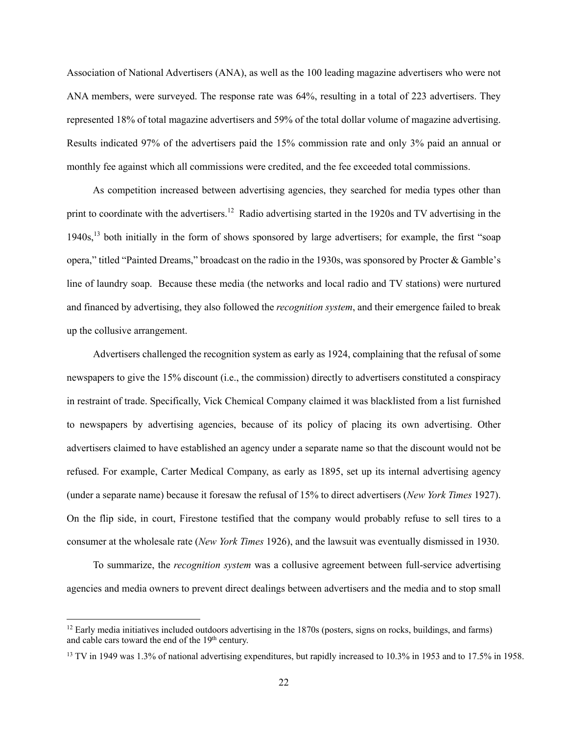Association of National Advertisers (ANA), as well as the 100 leading magazine advertisers who were not ANA members, were surveyed. The response rate was 64%, resulting in a total of 223 advertisers. They represented 18% of total magazine advertisers and 59% of the total dollar volume of magazine advertising. Results indicated 97% of the advertisers paid the 15% commission rate and only 3% paid an annual or monthly fee against which all commissions were credited, and the fee exceeded total commissions.

As competition increased between advertising agencies, they searched for media types other than print to coordinate with the advertisers.<sup>12</sup> Radio advertising started in the 1920s and TV advertising in the 1940s,<sup>13</sup> both initially in the form of shows sponsored by large advertisers; for example, the first "soap opera," titled "Painted Dreams," broadcast on the radio in the 1930s, was sponsored by Procter & Gamble's line of laundry soap. Because these media (the networks and local radio and TV stations) were nurtured and financed by advertising, they also followed the *recognition system*, and their emergence failed to break up the collusive arrangement.

Advertisers challenged the recognition system as early as 1924, complaining that the refusal of some newspapers to give the 15% discount (i.e., the commission) directly to advertisers constituted a conspiracy in restraint of trade. Specifically, Vick Chemical Company claimed it was blacklisted from a list furnished to newspapers by advertising agencies, because of its policy of placing its own advertising. Other advertisers claimed to have established an agency under a separate name so that the discount would not be refused. For example, Carter Medical Company, as early as 1895, set up its internal advertising agency (under a separate name) because it foresaw the refusal of 15% to direct advertisers (*New York Times* 1927). On the flip side, in court, Firestone testified that the company would probably refuse to sell tires to a consumer at the wholesale rate (*New York Times* 1926), and the lawsuit was eventually dismissed in 1930.

To summarize, the *recognition system* was a collusive agreement between full-service advertising agencies and media owners to prevent direct dealings between advertisers and the media and to stop small

 $12$  Early media initiatives included outdoors advertising in the 1870s (posters, signs on rocks, buildings, and farms) and cable cars toward the end of the 19<sup>th</sup> century.

<sup>13</sup> TV in 1949 was 1.3% of national advertising expenditures, but rapidly increased to 10.3% in 1953 and to 17.5% in 1958.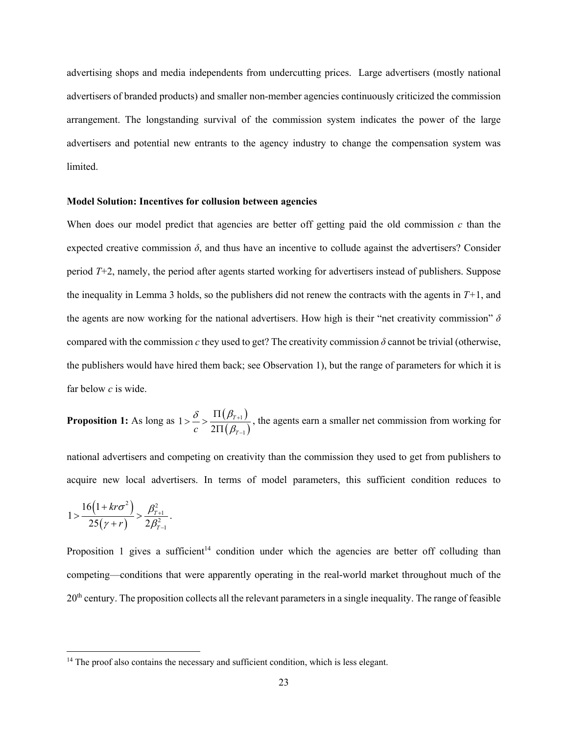advertising shops and media independents from undercutting prices. Large advertisers (mostly national advertisers of branded products) and smaller non-member agencies continuously criticized the commission arrangement. The longstanding survival of the commission system indicates the power of the large advertisers and potential new entrants to the agency industry to change the compensation system was limited.

#### **Model Solution: Incentives for collusion between agencies**

When does our model predict that agencies are better off getting paid the old commission *c* than the expected creative commission  $\delta$ , and thus have an incentive to collude against the advertisers? Consider period *T*+2, namely, the period after agents started working for advertisers instead of publishers. Suppose the inequality in Lemma 3 holds, so the publishers did not renew the contracts with the agents in *T+*1, and the agents are now working for the national advertisers. How high is their "net creativity commission" *δ* compared with the commission  $c$  they used to get? The creativity commission  $\delta$  cannot be trivial (otherwise, the publishers would have hired them back; see Observation 1), but the range of parameters for which it is far below *c* is wide.

**Proposition 1:** As long as  $1 > \frac{\delta}{\delta} > \frac{\Pi(\beta_{T+1})}{\Pi(\beta_{T+1})}$  $(\beta_{\tau-1})$ 1 1 1 2 *T*  $c-2\Pi(\beta_7$  $\delta$   $\Pi(\beta$  $\beta_{\scriptscriptstyle 2}$  $^{+}$ - $> \frac{\delta}{c} > \frac{\Pi(\beta_{T+1})}{2\Pi(\beta_{T-1})}$ , the agents earn a smaller net commission from working for

national advertisers and competing on creativity than the commission they used to get from publishers to acquire new local advertisers. In terms of model parameters, this sufficient condition reduces to

$$
1 > \frac{16(1+kr\sigma^2)}{25(\gamma+r)} > \frac{\beta_{T+1}^2}{2\beta_{T-1}^2}.
$$

Proposition 1 gives a sufficient<sup>14</sup> condition under which the agencies are better off colluding than competing—conditions that were apparently operating in the real-world market throughout much of the  $20<sup>th</sup>$  century. The proposition collects all the relevant parameters in a single inequality. The range of feasible

<sup>&</sup>lt;sup>14</sup> The proof also contains the necessary and sufficient condition, which is less elegant.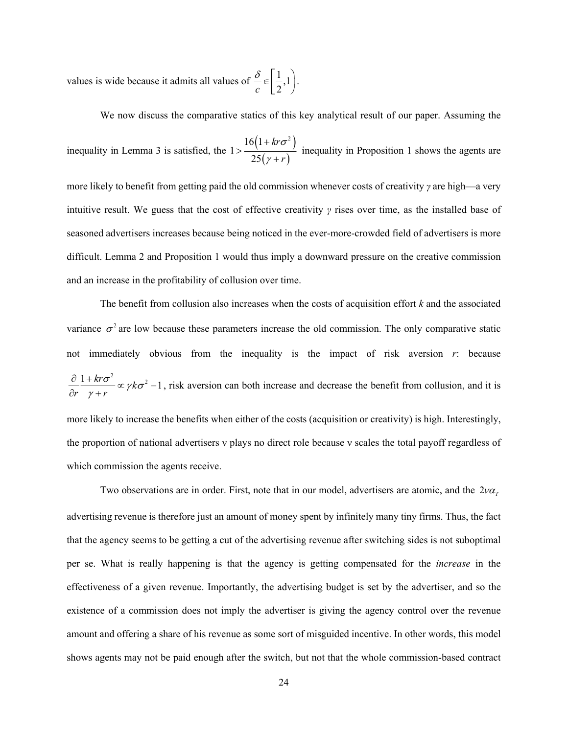values is wide because it admits all values of  $\mathcal{L} \in \left[ \frac{1}{2}, 1 \right]$  $c \begin{bmatrix} 2 \end{bmatrix}$  $\frac{\delta}{c} \in \left[\frac{1}{2},1\right).$ 

We now discuss the comparative statics of this key analytical result of our paper. Assuming the

inequality in Lemma 3 is satisfied, the  $1 > \frac{16(1 + k r \sigma^2)}{256}$  $(\gamma+r)$  $16(1+kr\sigma^2)$ 1 25 *kr r* σ γ  $^{+}$  $>$  $^{+}$ inequality in Proposition 1 shows the agents are

more likely to benefit from getting paid the old commission whenever costs of creativity *γ* are high—a very intuitive result. We guess that the cost of effective creativity *γ* rises over time, as the installed base of seasoned advertisers increases because being noticed in the ever-more-crowded field of advertisers is more difficult. Lemma 2 and Proposition 1 would thus imply a downward pressure on the creative commission and an increase in the profitability of collusion over time.

The benefit from collusion also increases when the costs of acquisition effort *k* and the associated variance  $\sigma^2$  are low because these parameters increase the old commission. The only comparative static not immediately obvious from the inequality is the impact of risk aversion *r*: because  $\frac{1+kr\sigma^2}{2} \propto \gamma k\sigma^2 - 1$  $r \gamma + r$  $\frac{\sigma^-}{\sigma}$ α γk $\sigma$ γ  $\frac{\partial}{\partial r} \frac{1+kr\sigma^2}{\gamma+r} \propto \gamma k\sigma^2 - 1$ , risk aversion can both increase and decrease the benefit from collusion, and it is more likely to increase the benefits when either of the costs (acquisition or creativity) is high. Interestingly, the proportion of national advertisers ν plays no direct role because ν scales the total payoff regardless of which commission the agents receive.

Two observations are in order. First, note that in our model, advertisers are atomic, and the  $2\nu\alpha_r$ advertising revenue is therefore just an amount of money spent by infinitely many tiny firms. Thus, the fact that the agency seems to be getting a cut of the advertising revenue after switching sides is not suboptimal per se. What is really happening is that the agency is getting compensated for the *increase* in the effectiveness of a given revenue. Importantly, the advertising budget is set by the advertiser, and so the existence of a commission does not imply the advertiser is giving the agency control over the revenue amount and offering a share of his revenue as some sort of misguided incentive. In other words, this model shows agents may not be paid enough after the switch, but not that the whole commission-based contract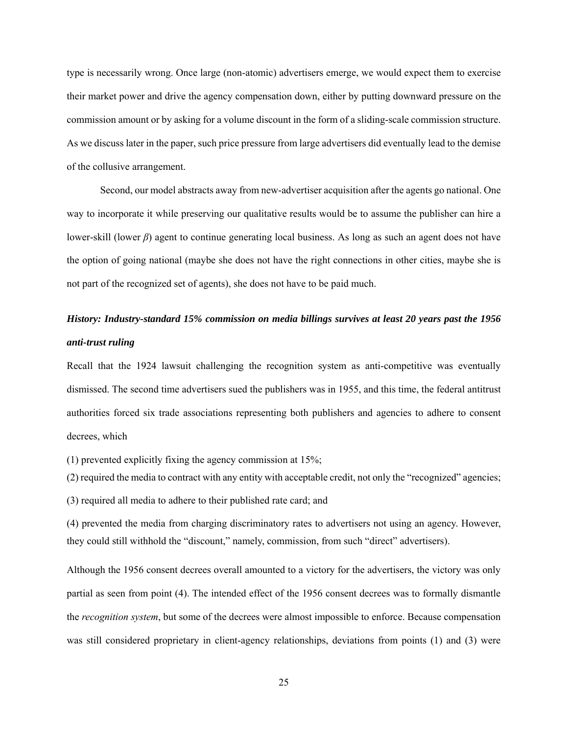type is necessarily wrong. Once large (non-atomic) advertisers emerge, we would expect them to exercise their market power and drive the agency compensation down, either by putting downward pressure on the commission amount or by asking for a volume discount in the form of a sliding-scale commission structure. As we discuss later in the paper, such price pressure from large advertisers did eventually lead to the demise of the collusive arrangement.

Second, our model abstracts away from new-advertiser acquisition after the agents go national. One way to incorporate it while preserving our qualitative results would be to assume the publisher can hire a lower-skill (lower *β*) agent to continue generating local business. As long as such an agent does not have the option of going national (maybe she does not have the right connections in other cities, maybe she is not part of the recognized set of agents), she does not have to be paid much.

# *History: Industry-standard 15% commission on media billings survives at least 20 years past the 1956 anti-trust ruling*

Recall that the 1924 lawsuit challenging the recognition system as anti-competitive was eventually dismissed. The second time advertisers sued the publishers was in 1955, and this time, the federal antitrust authorities forced six trade associations representing both publishers and agencies to adhere to consent decrees, which

(1) prevented explicitly fixing the agency commission at 15%;

(2) required the media to contract with any entity with acceptable credit, not only the "recognized" agencies;

(3) required all media to adhere to their published rate card; and

(4) prevented the media from charging discriminatory rates to advertisers not using an agency. However, they could still withhold the "discount," namely, commission, from such "direct" advertisers).

Although the 1956 consent decrees overall amounted to a victory for the advertisers, the victory was only partial as seen from point (4). The intended effect of the 1956 consent decrees was to formally dismantle the *recognition system*, but some of the decrees were almost impossible to enforce. Because compensation was still considered proprietary in client-agency relationships, deviations from points (1) and (3) were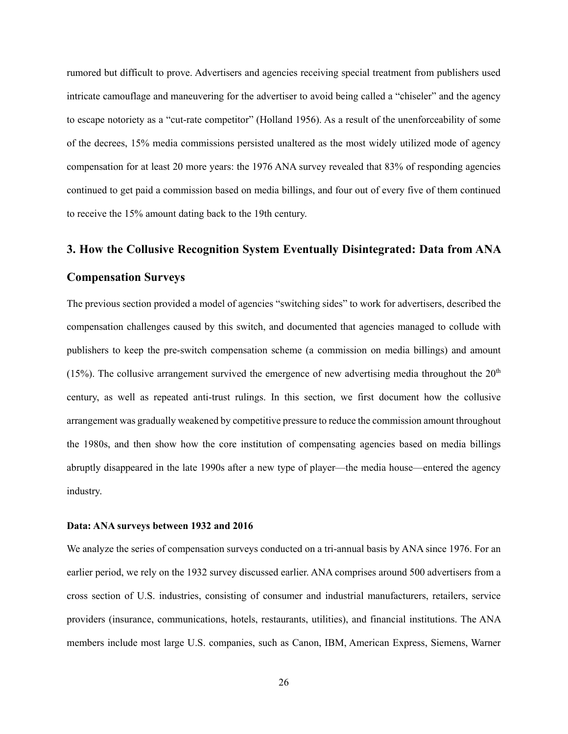rumored but difficult to prove. Advertisers and agencies receiving special treatment from publishers used intricate camouflage and maneuvering for the advertiser to avoid being called a "chiseler" and the agency to escape notoriety as a "cut-rate competitor" (Holland 1956). As a result of the unenforceability of some of the decrees, 15% media commissions persisted unaltered as the most widely utilized mode of agency compensation for at least 20 more years: the 1976 ANA survey revealed that 83% of responding agencies continued to get paid a commission based on media billings, and four out of every five of them continued to receive the 15% amount dating back to the 19th century.

# **3. How the Collusive Recognition System Eventually Disintegrated: Data from ANA Compensation Surveys**

The previous section provided a model of agencies "switching sides" to work for advertisers, described the compensation challenges caused by this switch, and documented that agencies managed to collude with publishers to keep the pre-switch compensation scheme (a commission on media billings) and amount (15%). The collusive arrangement survived the emergence of new advertising media throughout the  $20<sup>th</sup>$ century, as well as repeated anti-trust rulings. In this section, we first document how the collusive arrangement was gradually weakened by competitive pressure to reduce the commission amount throughout the 1980s, and then show how the core institution of compensating agencies based on media billings abruptly disappeared in the late 1990s after a new type of player—the media house—entered the agency industry.

#### **Data: ANA surveys between 1932 and 2016**

We analyze the series of compensation surveys conducted on a tri-annual basis by ANA since 1976. For an earlier period, we rely on the 1932 survey discussed earlier. ANA comprises around 500 advertisers from a cross section of U.S. industries, consisting of consumer and industrial manufacturers, retailers, service providers (insurance, communications, hotels, restaurants, utilities), and financial institutions. The ANA members include most large U.S. companies, such as Canon, IBM, American Express, Siemens, Warner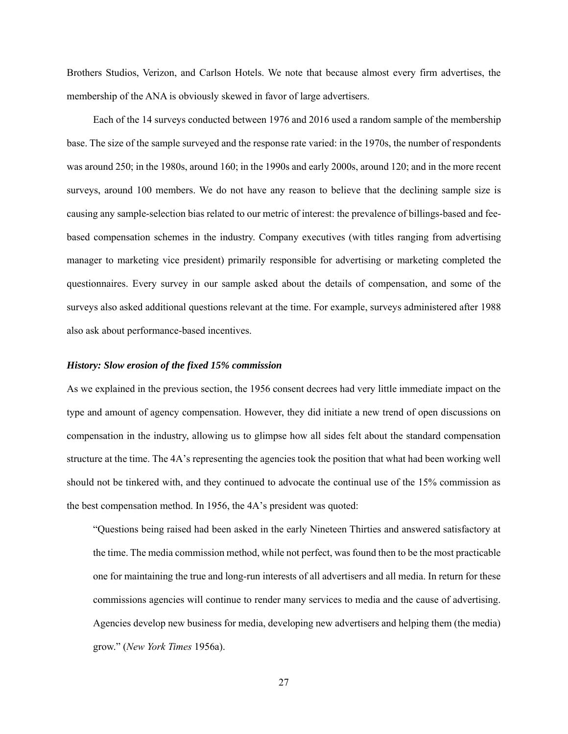Brothers Studios, Verizon, and Carlson Hotels. We note that because almost every firm advertises, the membership of the ANA is obviously skewed in favor of large advertisers.

Each of the 14 surveys conducted between 1976 and 2016 used a random sample of the membership base. The size of the sample surveyed and the response rate varied: in the 1970s, the number of respondents was around 250; in the 1980s, around 160; in the 1990s and early 2000s, around 120; and in the more recent surveys, around 100 members. We do not have any reason to believe that the declining sample size is causing any sample-selection bias related to our metric of interest: the prevalence of billings-based and feebased compensation schemes in the industry. Company executives (with titles ranging from advertising manager to marketing vice president) primarily responsible for advertising or marketing completed the questionnaires. Every survey in our sample asked about the details of compensation, and some of the surveys also asked additional questions relevant at the time. For example, surveys administered after 1988 also ask about performance-based incentives.

#### *History: Slow erosion of the fixed 15% commission*

As we explained in the previous section, the 1956 consent decrees had very little immediate impact on the type and amount of agency compensation. However, they did initiate a new trend of open discussions on compensation in the industry, allowing us to glimpse how all sides felt about the standard compensation structure at the time. The 4A's representing the agencies took the position that what had been working well should not be tinkered with, and they continued to advocate the continual use of the 15% commission as the best compensation method. In 1956, the 4A's president was quoted:

"Questions being raised had been asked in the early Nineteen Thirties and answered satisfactory at the time. The media commission method, while not perfect, was found then to be the most practicable one for maintaining the true and long-run interests of all advertisers and all media. In return for these commissions agencies will continue to render many services to media and the cause of advertising. Agencies develop new business for media, developing new advertisers and helping them (the media) grow." (*New York Times* 1956a).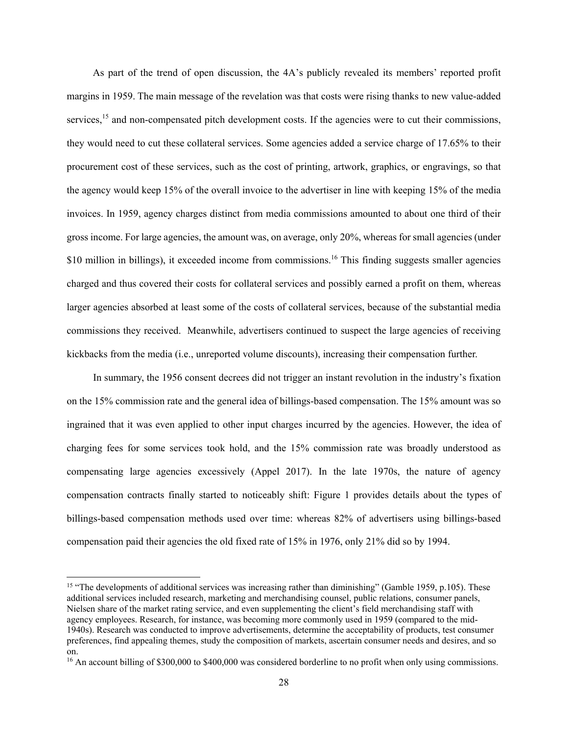As part of the trend of open discussion, the 4A's publicly revealed its members' reported profit margins in 1959. The main message of the revelation was that costs were rising thanks to new value-added services, $15$  and non-compensated pitch development costs. If the agencies were to cut their commissions, they would need to cut these collateral services. Some agencies added a service charge of 17.65% to their procurement cost of these services, such as the cost of printing, artwork, graphics, or engravings, so that the agency would keep 15% of the overall invoice to the advertiser in line with keeping 15% of the media invoices. In 1959, agency charges distinct from media commissions amounted to about one third of their gross income. For large agencies, the amount was, on average, only 20%, whereas for small agencies (under \$10 million in billings), it exceeded income from commissions.<sup>16</sup> This finding suggests smaller agencies charged and thus covered their costs for collateral services and possibly earned a profit on them, whereas larger agencies absorbed at least some of the costs of collateral services, because of the substantial media commissions they received. Meanwhile, advertisers continued to suspect the large agencies of receiving kickbacks from the media (i.e., unreported volume discounts), increasing their compensation further.

In summary, the 1956 consent decrees did not trigger an instant revolution in the industry's fixation on the 15% commission rate and the general idea of billings-based compensation. The 15% amount was so ingrained that it was even applied to other input charges incurred by the agencies. However, the idea of charging fees for some services took hold, and the 15% commission rate was broadly understood as compensating large agencies excessively (Appel 2017). In the late 1970s, the nature of agency compensation contracts finally started to noticeably shift: Figure 1 provides details about the types of billings-based compensation methods used over time: whereas 82% of advertisers using billings-based compensation paid their agencies the old fixed rate of 15% in 1976, only 21% did so by 1994.

<sup>&</sup>lt;sup>15</sup> "The developments of additional services was increasing rather than diminishing" (Gamble 1959, p.105). These additional services included research, marketing and merchandising counsel, public relations, consumer panels, Nielsen share of the market rating service, and even supplementing the client's field merchandising staff with agency employees. Research, for instance, was becoming more commonly used in 1959 (compared to the mid-1940s). Research was conducted to improve advertisements, determine the acceptability of products, test consumer preferences, find appealing themes, study the composition of markets, ascertain consumer needs and desires, and so on.

<sup>&</sup>lt;sup>16</sup> An account billing of \$300,000 to \$400,000 was considered borderline to no profit when only using commissions.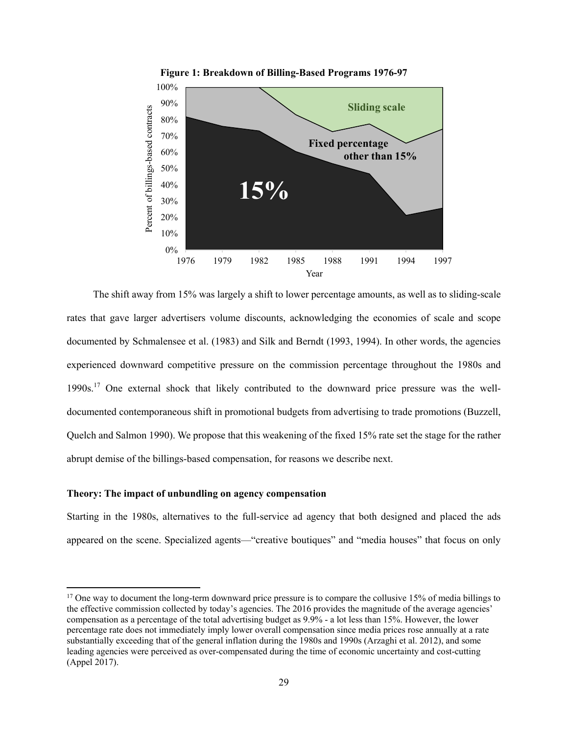

The shift away from 15% was largely a shift to lower percentage amounts, as well as to sliding-scale rates that gave larger advertisers volume discounts, acknowledging the economies of scale and scope documented by Schmalensee et al. (1983) and Silk and Berndt (1993, 1994). In other words, the agencies experienced downward competitive pressure on the commission percentage throughout the 1980s and  $1990s$ .<sup>17</sup> One external shock that likely contributed to the downward price pressure was the welldocumented contemporaneous shift in promotional budgets from advertising to trade promotions (Buzzell, Quelch and Salmon 1990). We propose that this weakening of the fixed 15% rate set the stage for the rather abrupt demise of the billings-based compensation, for reasons we describe next.

#### **Theory: The impact of unbundling on agency compensation**

Starting in the 1980s, alternatives to the full-service ad agency that both designed and placed the ads appeared on the scene. Specialized agents—"creative boutiques" and "media houses" that focus on only

<sup>&</sup>lt;sup>17</sup> One way to document the long-term downward price pressure is to compare the collusive 15% of media billings to the effective commission collected by today's agencies. The 2016 provides the magnitude of the average agencies' compensation as a percentage of the total advertising budget as 9.9% - a lot less than 15%. However, the lower percentage rate does not immediately imply lower overall compensation since media prices rose annually at a rate substantially exceeding that of the general inflation during the 1980s and 1990s (Arzaghi et al. 2012), and some leading agencies were perceived as over-compensated during the time of economic uncertainty and cost-cutting (Appel 2017).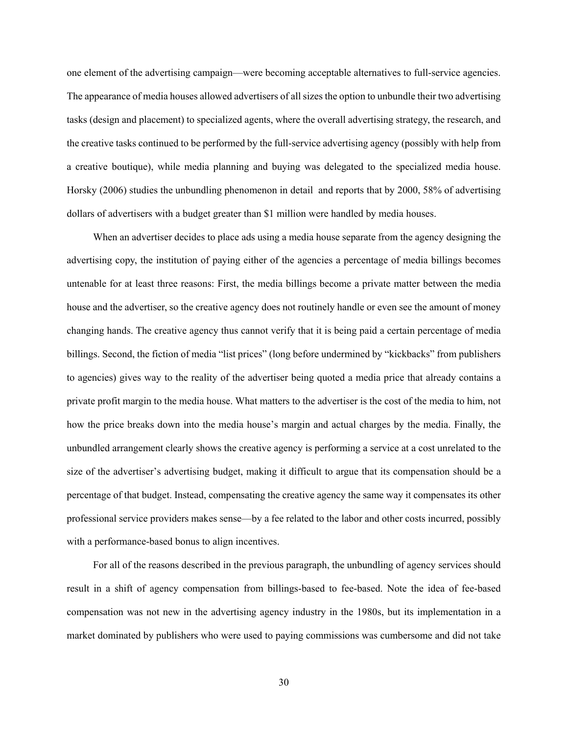one element of the advertising campaign—were becoming acceptable alternatives to full-service agencies. The appearance of media houses allowed advertisers of all sizes the option to unbundle their two advertising tasks (design and placement) to specialized agents, where the overall advertising strategy, the research, and the creative tasks continued to be performed by the full-service advertising agency (possibly with help from a creative boutique), while media planning and buying was delegated to the specialized media house. Horsky (2006) studies the unbundling phenomenon in detail and reports that by 2000, 58% of advertising dollars of advertisers with a budget greater than \$1 million were handled by media houses.

When an advertiser decides to place ads using a media house separate from the agency designing the advertising copy, the institution of paying either of the agencies a percentage of media billings becomes untenable for at least three reasons: First, the media billings become a private matter between the media house and the advertiser, so the creative agency does not routinely handle or even see the amount of money changing hands. The creative agency thus cannot verify that it is being paid a certain percentage of media billings. Second, the fiction of media "list prices" (long before undermined by "kickbacks" from publishers to agencies) gives way to the reality of the advertiser being quoted a media price that already contains a private profit margin to the media house. What matters to the advertiser is the cost of the media to him, not how the price breaks down into the media house's margin and actual charges by the media. Finally, the unbundled arrangement clearly shows the creative agency is performing a service at a cost unrelated to the size of the advertiser's advertising budget, making it difficult to argue that its compensation should be a percentage of that budget. Instead, compensating the creative agency the same way it compensates its other professional service providers makes sense—by a fee related to the labor and other costs incurred, possibly with a performance-based bonus to align incentives.

For all of the reasons described in the previous paragraph, the unbundling of agency services should result in a shift of agency compensation from billings-based to fee-based. Note the idea of fee-based compensation was not new in the advertising agency industry in the 1980s, but its implementation in a market dominated by publishers who were used to paying commissions was cumbersome and did not take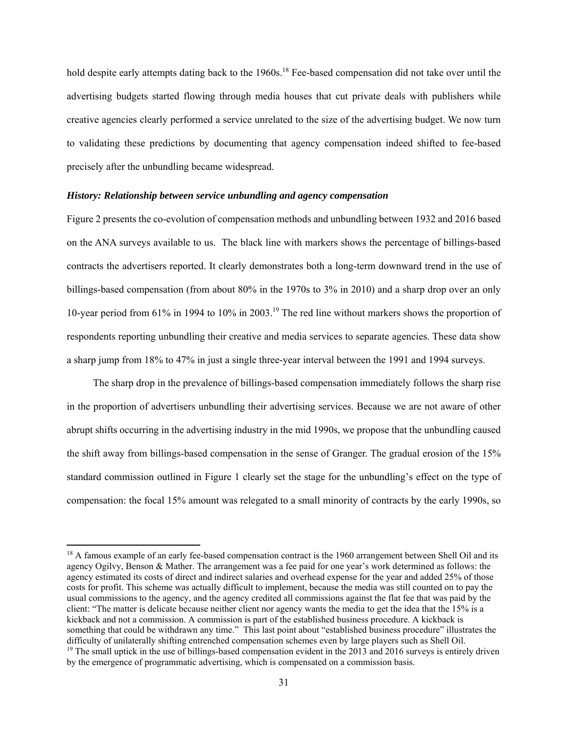hold despite early attempts dating back to the 1960s.<sup>18</sup> Fee-based compensation did not take over until the advertising budgets started flowing through media houses that cut private deals with publishers while creative agencies clearly performed a service unrelated to the size of the advertising budget. We now turn to validating these predictions by documenting that agency compensation indeed shifted to fee-based precisely after the unbundling became widespread.

#### *History: Relationship between service unbundling and agency compensation*

Figure 2 presents the co-evolution of compensation methods and unbundling between 1932 and 2016 based on the ANA surveys available to us. The black line with markers shows the percentage of billings-based contracts the advertisers reported. It clearly demonstrates both a long-term downward trend in the use of billings-based compensation (from about 80% in the 1970s to 3% in 2010) and a sharp drop over an only 10-year period from 61% in 1994 to 10% in 2003.19 The red line without markers shows the proportion of respondents reporting unbundling their creative and media services to separate agencies. These data show a sharp jump from 18% to 47% in just a single three-year interval between the 1991 and 1994 surveys.

The sharp drop in the prevalence of billings-based compensation immediately follows the sharp rise in the proportion of advertisers unbundling their advertising services. Because we are not aware of other abrupt shifts occurring in the advertising industry in the mid 1990s, we propose that the unbundling caused the shift away from billings-based compensation in the sense of Granger. The gradual erosion of the 15% standard commission outlined in Figure 1 clearly set the stage for the unbundling's effect on the type of compensation: the focal 15% amount was relegated to a small minority of contracts by the early 1990s, so

<sup>&</sup>lt;sup>18</sup> A famous example of an early fee-based compensation contract is the 1960 arrangement between Shell Oil and its agency Ogilvy, Benson & Mather. The arrangement was a fee paid for one year's work determined as follows: the agency estimated its costs of direct and indirect salaries and overhead expense for the year and added 25% of those costs for profit. This scheme was actually difficult to implement, because the media was still counted on to pay the usual commissions to the agency, and the agency credited all commissions against the flat fee that was paid by the client: "The matter is delicate because neither client nor agency wants the media to get the idea that the 15% is a kickback and not a commission. A commission is part of the established business procedure. A kickback is something that could be withdrawn any time." This last point about "established business procedure" illustrates the difficulty of unilaterally shifting entrenched compensation schemes even by large players such as Shell Oil. <sup>19</sup> The small uptick in the use of billings-based compensation evident in the 2013 and 2016 surveys is entirely driven by the emergence of programmatic advertising, which is compensated on a commission basis.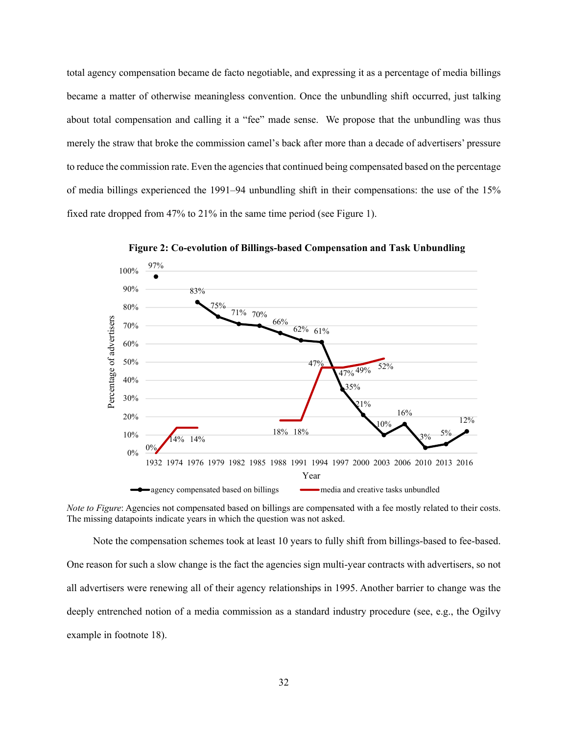total agency compensation became de facto negotiable, and expressing it as a percentage of media billings became a matter of otherwise meaningless convention. Once the unbundling shift occurred, just talking about total compensation and calling it a "fee" made sense. We propose that the unbundling was thus merely the straw that broke the commission camel's back after more than a decade of advertisers' pressure to reduce the commission rate. Even the agencies that continued being compensated based on the percentage of media billings experienced the 1991–94 unbundling shift in their compensations: the use of the 15% fixed rate dropped from 47% to 21% in the same time period (see Figure 1).



**Figure 2: Co-evolution of Billings-based Compensation and Task Unbundling**

*Note to Figure*: Agencies not compensated based on billings are compensated with a fee mostly related to their costs. The missing datapoints indicate years in which the question was not asked.

Note the compensation schemes took at least 10 years to fully shift from billings-based to fee-based. One reason for such a slow change is the fact the agencies sign multi-year contracts with advertisers, so not all advertisers were renewing all of their agency relationships in 1995. Another barrier to change was the deeply entrenched notion of a media commission as a standard industry procedure (see, e.g., the Ogilvy example in footnote 18).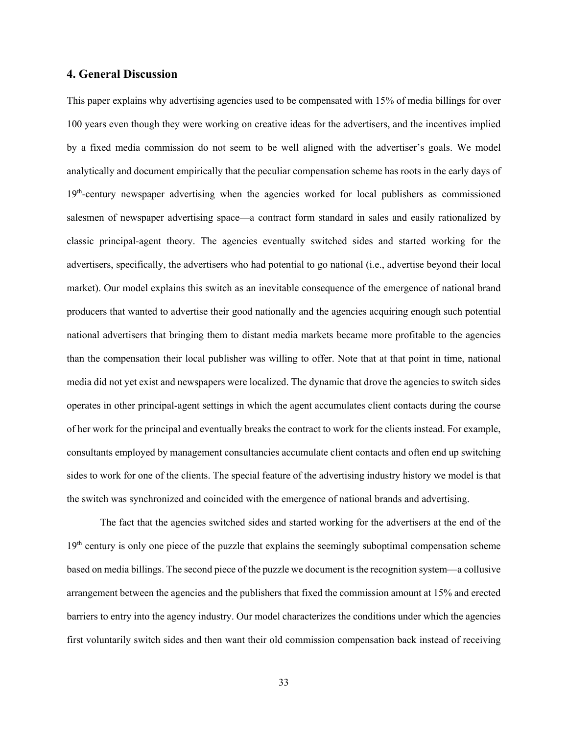# **4. General Discussion**

This paper explains why advertising agencies used to be compensated with 15% of media billings for over 100 years even though they were working on creative ideas for the advertisers, and the incentives implied by a fixed media commission do not seem to be well aligned with the advertiser's goals. We model analytically and document empirically that the peculiar compensation scheme has roots in the early days of 19<sup>th</sup>-century newspaper advertising when the agencies worked for local publishers as commissioned salesmen of newspaper advertising space—a contract form standard in sales and easily rationalized by classic principal-agent theory. The agencies eventually switched sides and started working for the advertisers, specifically, the advertisers who had potential to go national (i.e., advertise beyond their local market). Our model explains this switch as an inevitable consequence of the emergence of national brand producers that wanted to advertise their good nationally and the agencies acquiring enough such potential national advertisers that bringing them to distant media markets became more profitable to the agencies than the compensation their local publisher was willing to offer. Note that at that point in time, national media did not yet exist and newspapers were localized. The dynamic that drove the agencies to switch sides operates in other principal-agent settings in which the agent accumulates client contacts during the course of her work for the principal and eventually breaks the contract to work for the clients instead. For example, consultants employed by management consultancies accumulate client contacts and often end up switching sides to work for one of the clients. The special feature of the advertising industry history we model is that the switch was synchronized and coincided with the emergence of national brands and advertising.

The fact that the agencies switched sides and started working for the advertisers at the end of the  $19<sup>th</sup>$  century is only one piece of the puzzle that explains the seemingly suboptimal compensation scheme based on media billings. The second piece of the puzzle we document is the recognition system—a collusive arrangement between the agencies and the publishers that fixed the commission amount at 15% and erected barriers to entry into the agency industry. Our model characterizes the conditions under which the agencies first voluntarily switch sides and then want their old commission compensation back instead of receiving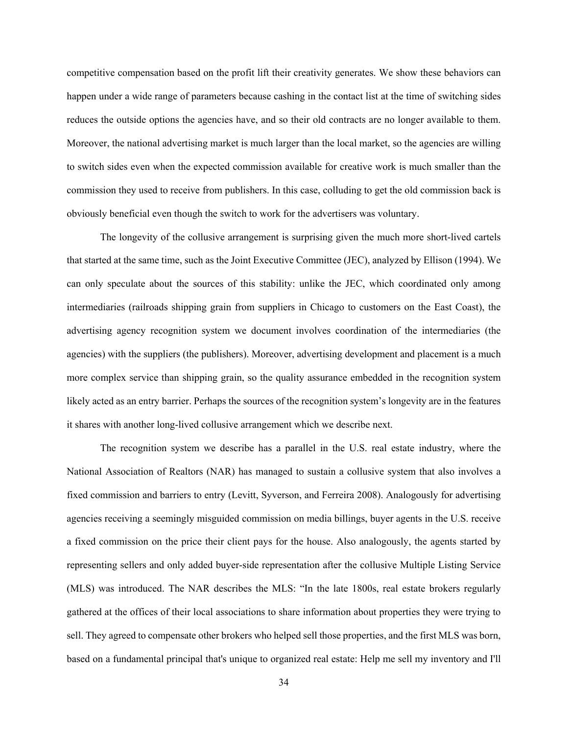competitive compensation based on the profit lift their creativity generates. We show these behaviors can happen under a wide range of parameters because cashing in the contact list at the time of switching sides reduces the outside options the agencies have, and so their old contracts are no longer available to them. Moreover, the national advertising market is much larger than the local market, so the agencies are willing to switch sides even when the expected commission available for creative work is much smaller than the commission they used to receive from publishers. In this case, colluding to get the old commission back is obviously beneficial even though the switch to work for the advertisers was voluntary.

The longevity of the collusive arrangement is surprising given the much more short-lived cartels that started at the same time, such as the Joint Executive Committee (JEC), analyzed by Ellison (1994). We can only speculate about the sources of this stability: unlike the JEC, which coordinated only among intermediaries (railroads shipping grain from suppliers in Chicago to customers on the East Coast), the advertising agency recognition system we document involves coordination of the intermediaries (the agencies) with the suppliers (the publishers). Moreover, advertising development and placement is a much more complex service than shipping grain, so the quality assurance embedded in the recognition system likely acted as an entry barrier. Perhaps the sources of the recognition system's longevity are in the features it shares with another long-lived collusive arrangement which we describe next.

The recognition system we describe has a parallel in the U.S. real estate industry, where the National Association of Realtors (NAR) has managed to sustain a collusive system that also involves a fixed commission and barriers to entry (Levitt, Syverson, and Ferreira 2008). Analogously for advertising agencies receiving a seemingly misguided commission on media billings, buyer agents in the U.S. receive a fixed commission on the price their client pays for the house. Also analogously, the agents started by representing sellers and only added buyer-side representation after the collusive Multiple Listing Service (MLS) was introduced. The NAR describes the MLS: "In the late 1800s, real estate brokers regularly gathered at the offices of their local associations to share information about properties they were trying to sell. They agreed to compensate other brokers who helped sell those properties, and the first MLS was born, based on a fundamental principal that's unique to organized real estate: Help me sell my inventory and I'll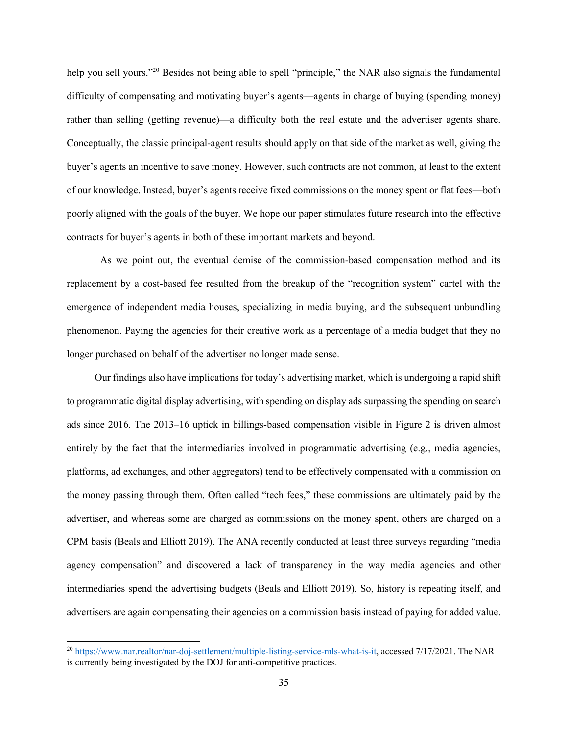help you sell yours."<sup>20</sup> Besides not being able to spell "principle," the NAR also signals the fundamental difficulty of compensating and motivating buyer's agents—agents in charge of buying (spending money) rather than selling (getting revenue)—a difficulty both the real estate and the advertiser agents share. Conceptually, the classic principal-agent results should apply on that side of the market as well, giving the buyer's agents an incentive to save money. However, such contracts are not common, at least to the extent of our knowledge. Instead, buyer's agents receive fixed commissions on the money spent or flat fees—both poorly aligned with the goals of the buyer. We hope our paper stimulates future research into the effective contracts for buyer's agents in both of these important markets and beyond.

 As we point out, the eventual demise of the commission-based compensation method and its replacement by a cost-based fee resulted from the breakup of the "recognition system" cartel with the emergence of independent media houses, specializing in media buying, and the subsequent unbundling phenomenon. Paying the agencies for their creative work as a percentage of a media budget that they no longer purchased on behalf of the advertiser no longer made sense.

 Our findings also have implications for today's advertising market, which is undergoing a rapid shift to programmatic digital display advertising, with spending on display ads surpassing the spending on search ads since 2016. The 2013–16 uptick in billings-based compensation visible in Figure 2 is driven almost entirely by the fact that the intermediaries involved in programmatic advertising (e.g., media agencies, platforms, ad exchanges, and other aggregators) tend to be effectively compensated with a commission on the money passing through them. Often called "tech fees," these commissions are ultimately paid by the advertiser, and whereas some are charged as commissions on the money spent, others are charged on a CPM basis (Beals and Elliott 2019). The ANA recently conducted at least three surveys regarding "media agency compensation" and discovered a lack of transparency in the way media agencies and other intermediaries spend the advertising budgets (Beals and Elliott 2019). So, history is repeating itself, and advertisers are again compensating their agencies on a commission basis instead of paying for added value.

<sup>&</sup>lt;sup>20</sup> https://www.nar.realtor/nar-doj-settlement/multiple-listing-service-mls-what-is-it, accessed 7/17/2021. The NAR is currently being investigated by the DOJ for anti-competitive practices.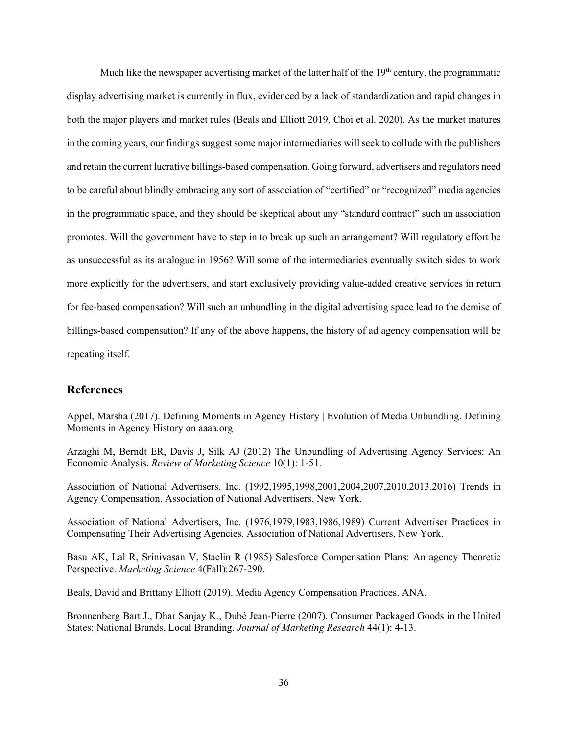Much like the newspaper advertising market of the latter half of the  $19<sup>th</sup>$  century, the programmatic display advertising market is currently in flux, evidenced by a lack of standardization and rapid changes in both the major players and market rules (Beals and Elliott 2019, Choi et al. 2020). As the market matures in the coming years, our findings suggest some major intermediaries will seek to collude with the publishers and retain the current lucrative billings-based compensation. Going forward, advertisers and regulators need to be careful about blindly embracing any sort of association of "certified" or "recognized" media agencies in the programmatic space, and they should be skeptical about any "standard contract" such an association promotes. Will the government have to step in to break up such an arrangement? Will regulatory effort be as unsuccessful as its analogue in 1956? Will some of the intermediaries eventually switch sides to work more explicitly for the advertisers, and start exclusively providing value-added creative services in return for fee-based compensation? Will such an unbundling in the digital advertising space lead to the demise of billings-based compensation? If any of the above happens, the history of ad agency compensation will be repeating itself.

# **References**

Appel, Marsha (2017). Defining Moments in Agency History | Evolution of Media Unbundling. Defining Moments in Agency History on aaaa.org

Arzaghi M, Berndt ER, Davis J, Silk AJ (2012) The Unbundling of Advertising Agency Services: An Economic Analysis. *Review of Marketing Science* 10(1): 1-51.

Association of National Advertisers, Inc. (1992,1995,1998,2001,2004,2007,2010,2013,2016) Trends in Agency Compensation. Association of National Advertisers, New York.

Association of National Advertisers, Inc. (1976,1979,1983,1986,1989) Current Advertiser Practices in Compensating Their Advertising Agencies. Association of National Advertisers, New York.

Basu AK, Lal R, Srinivasan V, Staelin R (1985) Salesforce Compensation Plans: An agency Theoretic Perspective. *Marketing Science* 4(Fall):267-290.

Beals, David and Brittany Elliott (2019). Media Agency Compensation Practices. ANA.

Bronnenberg Bart J., Dhar Sanjay K., Dubé Jean-Pierre (2007). Consumer Packaged Goods in the United States: National Brands, Local Branding. *Journal of Marketing Research* 44(1): 4-13.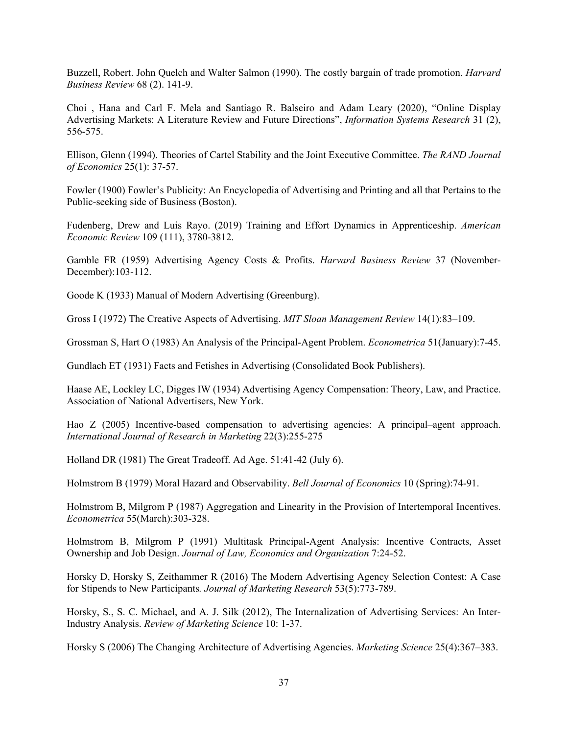Buzzell, Robert. John Quelch and Walter Salmon (1990). The costly bargain of trade promotion. *Harvard Business Review* 68 (2). 141-9.

Choi , Hana and Carl F. Mela and Santiago R. Balseiro and Adam Leary (2020), "Online Display Advertising Markets: A Literature Review and Future Directions", *Information Systems Research* 31 (2), 556-575.

Ellison, Glenn (1994). Theories of Cartel Stability and the Joint Executive Committee. *The RAND Journal of Economics* 25(1): 37-57.

Fowler (1900) Fowler's Publicity: An Encyclopedia of Advertising and Printing and all that Pertains to the Public-seeking side of Business (Boston).

Fudenberg, Drew and Luis Rayo. (2019) Training and Effort Dynamics in Apprenticeship. *American Economic Review* 109 (111), 3780-3812.

Gamble FR (1959) Advertising Agency Costs & Profits. *Harvard Business Review* 37 (November-December):103-112.

Goode K (1933) Manual of Modern Advertising (Greenburg).

Gross I (1972) The Creative Aspects of Advertising. *MIT Sloan Management Review* 14(1):83–109.

Grossman S, Hart O (1983) An Analysis of the Principal-Agent Problem. *Econometrica* 51(January):7-45.

Gundlach ET (1931) Facts and Fetishes in Advertising (Consolidated Book Publishers).

Haase AE, Lockley LC, Digges IW (1934) Advertising Agency Compensation: Theory, Law, and Practice. Association of National Advertisers, New York.

Hao Z (2005) Incentive-based compensation to advertising agencies: A principal–agent approach. *International Journal of Research in Marketing* 22(3):255-275

Holland DR (1981) The Great Tradeoff. Ad Age. 51:41-42 (July 6).

Holmstrom B (1979) Moral Hazard and Observability. *Bell Journal of Economics* 10 (Spring):74-91.

Holmstrom B, Milgrom P (1987) Aggregation and Linearity in the Provision of Intertemporal Incentives. *Econometrica* 55(March):303-328.

Holmstrom B, Milgrom P (1991) Multitask Principal-Agent Analysis: Incentive Contracts, Asset Ownership and Job Design. *Journal of Law, Economics and Organization* 7:24-52.

Horsky D, Horsky S, Zeithammer R (2016) The Modern Advertising Agency Selection Contest: A Case for Stipends to New Participants*. Journal of Marketing Research* 53(5):773-789.

Horsky, S., S. C. Michael, and A. J. Silk (2012), The Internalization of Advertising Services: An Inter-Industry Analysis. *Review of Marketing Science* 10: 1-37.

Horsky S (2006) The Changing Architecture of Advertising Agencies. *Marketing Science* 25(4):367–383.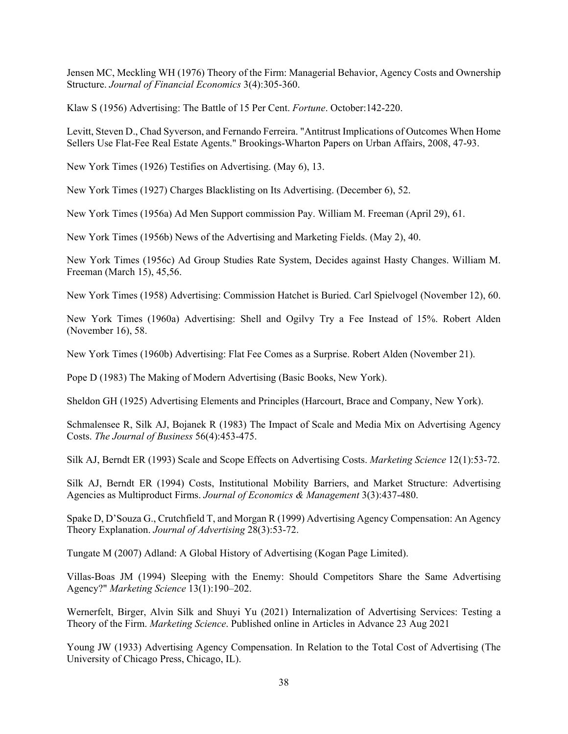Jensen MC, Meckling WH (1976) Theory of the Firm: Managerial Behavior, Agency Costs and Ownership Structure. *Journal of Financial Economics* 3(4):305-360.

Klaw S (1956) Advertising: The Battle of 15 Per Cent. *Fortune*. October:142-220.

Levitt, Steven D., Chad Syverson, and Fernando Ferreira. "Antitrust Implications of Outcomes When Home Sellers Use Flat-Fee Real Estate Agents." Brookings-Wharton Papers on Urban Affairs, 2008, 47-93.

New York Times (1926) Testifies on Advertising. (May 6), 13.

New York Times (1927) Charges Blacklisting on Its Advertising. (December 6), 52.

New York Times (1956a) Ad Men Support commission Pay. William M. Freeman (April 29), 61.

New York Times (1956b) News of the Advertising and Marketing Fields. (May 2), 40.

New York Times (1956c) Ad Group Studies Rate System, Decides against Hasty Changes. William M. Freeman (March 15), 45,56.

New York Times (1958) Advertising: Commission Hatchet is Buried. Carl Spielvogel (November 12), 60.

New York Times (1960a) Advertising: Shell and Ogilvy Try a Fee Instead of 15%. Robert Alden (November 16), 58.

New York Times (1960b) Advertising: Flat Fee Comes as a Surprise. Robert Alden (November 21).

Pope D (1983) The Making of Modern Advertising (Basic Books, New York).

Sheldon GH (1925) Advertising Elements and Principles (Harcourt, Brace and Company, New York).

Schmalensee R, Silk AJ, Bojanek R (1983) The Impact of Scale and Media Mix on Advertising Agency Costs. *The Journal of Business* 56(4):453-475.

Silk AJ, Berndt ER (1993) Scale and Scope Effects on Advertising Costs. *Marketing Science* 12(1):53-72.

Silk AJ, Berndt ER (1994) Costs, Institutional Mobility Barriers, and Market Structure: Advertising Agencies as Multiproduct Firms. *Journal of Economics & Management* 3(3):437-480.

Spake D, D'Souza G., Crutchfield T, and Morgan R (1999) Advertising Agency Compensation: An Agency Theory Explanation. *Journal of Advertising* 28(3):53-72.

Tungate M (2007) Adland: A Global History of Advertising (Kogan Page Limited).

Villas-Boas JM (1994) Sleeping with the Enemy: Should Competitors Share the Same Advertising Agency?" *Marketing Science* 13(1):190–202.

Wernerfelt, Birger, Alvin Silk and Shuyi Yu (2021) Internalization of Advertising Services: Testing a Theory of the Firm. *Marketing Science*. Published online in Articles in Advance 23 Aug 2021

Young JW (1933) Advertising Agency Compensation. In Relation to the Total Cost of Advertising (The University of Chicago Press, Chicago, IL).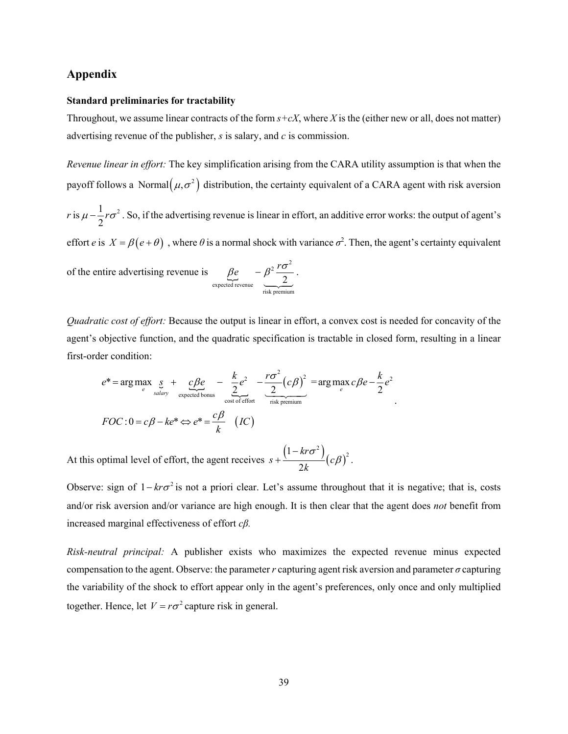## **Appendix**

#### **Standard preliminaries for tractability**

Throughout, we assume linear contracts of the form  $s+cX$ , where X is the (either new or all, does not matter) advertising revenue of the publisher, *s* is salary, and *c* is commission.

*Revenue linear in effort:* The key simplification arising from the CARA utility assumption is that when the payoff follows a Normal  $(\mu, \sigma^2)$  distribution, the certainty equivalent of a CARA agent with risk aversion

*r* is  $\mu - \frac{1}{2}r\sigma^2$ . So, if the advertising revenue is linear in effort, an additive error works: the output of agent's effort *e* is  $X = \beta(e + \theta)$ , where  $\theta$  is a normal shock with variance  $\sigma^2$ . Then, the agent's certainty equivalent .

of the entire advertising revenue is  $\beta e - \beta^2 \frac{r \sigma^2}{2}$ expected revenue<br>risk premium 2  $\beta e - \beta^2 \frac{r \sigma}{r^2}$  $\sim$   $^{2}$ 

*Quadratic cost of effort:* Because the output is linear in effort, a convex cost is needed for concavity of the agent's objective function, and the quadratic specification is tractable in closed form, resulting in a linear first-order condition:

$$
e^* = \arg \max_{e} \underbrace{g}_{\text{salary}} + \underbrace{c \beta e}_{\text{expected bonus}} - \underbrace{\frac{k}{2} e^2}_{\text{cost of effort}} - \underbrace{\frac{r \sigma^2}{2} (c \beta)^2}_{\text{risk premium}} = \arg \max_{e} c \beta e - \frac{k}{2} e^2
$$
  

$$
FOC: 0 = c \beta - k e^* \Leftrightarrow e^* = \frac{c \beta}{k} \quad (IC)
$$

At this optimal level of effort, the agent receives  $s + \frac{(1 - kr\sigma^2)}{2l}(c\beta)$  $\left(1-kr\sigma^2\right)_{(-\alpha)^2}$ 2 *kr*  $s + \frac{c}{c}$  *c k*  $+\frac{(1-kr\sigma^2)}{2k} (c\beta)^2$ .

Observe: sign of  $1 - kr\sigma^2$  is not a priori clear. Let's assume throughout that it is negative; that is, costs and/or risk aversion and/or variance are high enough. It is then clear that the agent does *not* benefit from increased marginal effectiveness of effort *cβ.*

*Risk-neutral principal:* A publisher exists who maximizes the expected revenue minus expected compensation to the agent. Observe: the parameter *r* capturing agent risk aversion and parameter *σ* capturing the variability of the shock to effort appear only in the agent's preferences, only once and only multiplied together. Hence, let  $V = r\sigma^2$  capture risk in general.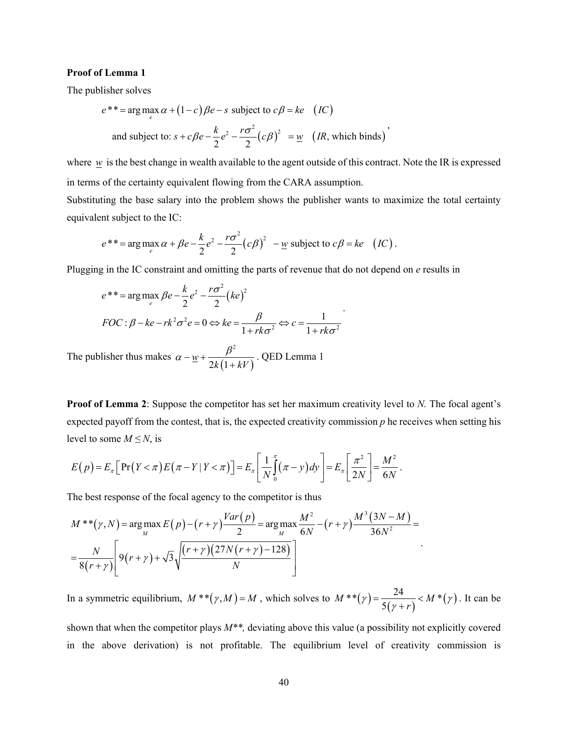#### **Proof of Lemma 1**

The publisher solves

$$
e^{**} = \arg \max_{e} \alpha + (1 - c)\beta e - s \text{ subject to } c\beta = ke \quad (IC)
$$
  
and subject to:  $s + c\beta e - \frac{k}{2}e^{2} - \frac{r\sigma^{2}}{2}(c\beta)^{2} = \underline{w} \quad (IR, which binds)$ 

where  $w$  is the best change in wealth available to the agent outside of this contract. Note the IR is expressed in terms of the certainty equivalent flowing from the CARA assumption.

Substituting the base salary into the problem shows the publisher wants to maximize the total certainty equivalent subject to the IC:

.

.

$$
e^{**} = \arg \max_{e} \alpha + \beta e - \frac{k}{2} e^2 - \frac{r \sigma^2}{2} (c \beta)^2 - \underline{w}
$$
 subject to  $c\beta = ke$  (IC).

Plugging in the IC constraint and omitting the parts of revenue that do not depend on *e* results in

$$
e^{**} = \arg\max_{e} \beta e - \frac{k}{2} e^{2} - \frac{r\sigma^{2}}{2} (ke)^{2}
$$
  
FOC:  $\beta - ke - rk^{2} \sigma^{2} e = 0 \Leftrightarrow ke = \frac{\beta}{1 + rk\sigma^{2}} \Leftrightarrow c = \frac{1}{1 + rk\sigma^{2}}$ 

The publisher thus makes  $\alpha - \underline{w} + \frac{P}{2k(1 + kV)}$  $2k(1)$ *w*  $k(1+kV)$  $\alpha - w + \frac{\beta}{\gamma + w}$  $^{+}$ . QED Lemma 1

**Proof of Lemma 2**: Suppose the competitor has set her maximum creativity level to *N*. The focal agent's expected payoff from the contest, that is, the expected creativity commission *p* he receives when setting his level to some  $M \leq N$ , is

$$
E(p) = E_{\pi} \Big[ \Pr(Y < \pi) E(\pi - Y | Y < \pi) \Big] = E_{\pi} \Bigg[ \frac{1}{N} \int_{0}^{\pi} (\pi - y) dy \Bigg] = E_{\pi} \Bigg[ \frac{\pi^2}{2N} \Bigg] = \frac{M^2}{6N}.
$$

The best response of the focal agency to the competitor is thus

$$
M^{**}(\gamma, N) = \arg \max_{M} E(p) - (r + \gamma) \frac{Var(p)}{2} = \arg \max_{M} \frac{M^2}{6N} - (r + \gamma) \frac{M^3 (3N - M)}{36N^2} =
$$
  
=  $\frac{N}{8(r + \gamma)} \left[ 9(r + \gamma) + \sqrt{3} \sqrt{\frac{(r + \gamma)(27N(r + \gamma) - 128)}{N}} \right]$ 

In a symmetric equilibrium,  $M^{**}(\gamma,M) = M$ , which solves to  $M^{**}(\gamma) = \frac{24}{5(\gamma+r)} < M^{*}(\gamma)$  $M^{**}(\gamma) = \frac{24}{\gamma} < M$  $\gamma = \frac{1}{5(\gamma + r)} < M^*(\gamma)$ γ  $=\frac{2\pi}{\pi}$  <  $^{+}$ . It can be

shown that when the competitor plays *M\*\*,* deviating above this value (a possibility not explicitly covered in the above derivation) is not profitable. The equilibrium level of creativity commission is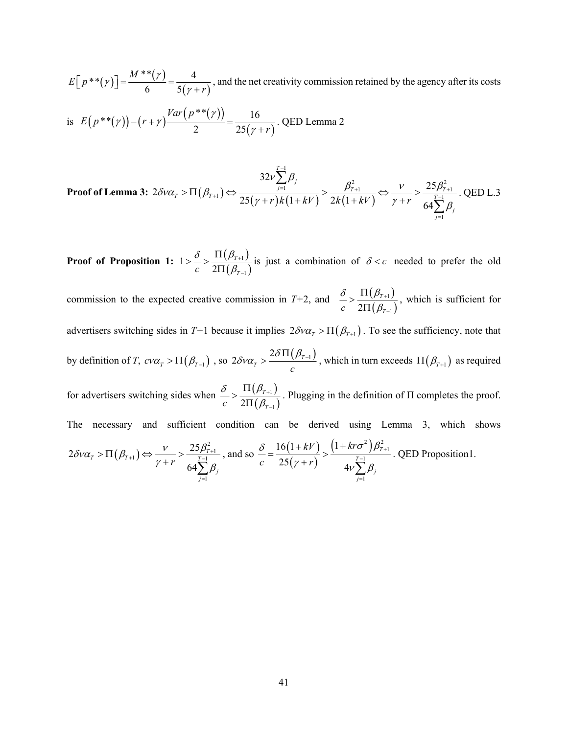$(\gamma)$  =  $\frac{M^{**}(\gamma)}{2}$  $E[p^{**}(\gamma)] = \frac{M^{**}(\gamma)}{6} = \frac{4}{5(\gamma + r)}$ *r*  $\left[\gamma\right]$  =  $\frac{M^{**}(\gamma)}{2\gamma}$  $\left[ p^{**}(\gamma) \right] = \frac{1}{6}$   $\frac{1}{6}$   $\left[ \frac{1}{2}$   $\frac{1}{2}$  and the net creativity commission retained by the agency after its costs

is 
$$
E(p^{**}(\gamma)) - (r + \gamma) \frac{Var(p^{**}(\gamma))}{2} = \frac{16}{25(\gamma + r)}
$$
. QED Lemma 2

Proof of Lemma 3: 
$$
2\delta\nu\alpha_T > \Pi(\beta_{T+1}) \Leftrightarrow \frac{32\nu \sum_{j=1}^{T-1} \beta_j}{25(\gamma + r)k(1 + kV)} > \frac{\beta_{T+1}^2}{2k(1 + kV)} \Leftrightarrow \frac{\nu}{\gamma + r} > \frac{25\beta_{T+1}^2}{64\sum_{j=1}^{T-1} \beta_j}
$$
. QED L.3

**Proof of Proposition 1:**  $1 > \frac{\delta}{\delta} > \frac{\Pi(\beta_{T+1})}{\Pi(\beta_{T+1})}$  $(\beta_{\scriptscriptstyle\mathcal{T}-1})$ 1 1 1 2 *T*  $c-2\Pi(\beta_{\scriptscriptstyle T}$  $\delta$   $\Pi(\beta$  $\beta_{\rm i}$  $\ddot{}$  $\overline{a}$  $>\frac{\delta}{c} > \frac{\Pi(\beta_{T+1})}{2\Pi(\beta_{T-1})}$  is just a combination of  $\delta < c$  needed to prefer the old

commission to the expected creative commission in  $T+2$ , and  $\frac{\delta}{\delta} > \frac{\Pi(\beta_{T+1})}{\Pi(\beta_{T+1})}$  $(\beta_{\scriptscriptstyle \tau -1})$ 1  $2\Pi\big(\beta_{\scriptscriptstyle T-1}$ *T*  $c-2\Pi(\beta_{\scriptscriptstyle T}$  $\delta$   $\Pi(\beta$  $\beta_{\scriptscriptstyle 2}$  $\ddot{}$  $\overline{a}$  $>\frac{\Pi(\beta_{T+1})}{2\Pi(\beta_{T-1})}$ , which is sufficient for advertisers switching sides in  $T+1$  because it implies  $2\delta v\alpha_T > \Pi(\beta_{T+1})$ . To see the sufficiency, note that by definition of *T*,  $c\nu\alpha_T > \Pi(\beta_{T-1})$  , so  $2\delta\nu\alpha_T > \frac{2\delta\Pi(\beta_{T-1})}{c}$  $\delta v \alpha_{T} > \frac{2 \delta \Pi(\beta_{T-1})}{2}$ , which in turn exceeds  $\Pi(\beta_{T+1})$  as required for advertisers switching sides when  $\frac{\delta}{\delta} > \frac{\Pi(\beta_{T+1})}{\Pi(\beta_{T+1})}$  $(\beta_{\scriptscriptstyle T-1})$ 1  $2\Pi\big(\beta_{\scriptscriptstyle T-1}$ *T*  $c-2\Pi(\beta_7$  $\delta$   $\Pi(\beta$  $\beta_i$  $\ddot{}$ i,  $>\frac{\Pi(\beta_{T+1})}{2\Pi(\beta_{T-1})}$ . Plugging in the definition of  $\Pi$  completes the proof. The necessary and sufficient condition can be derived using Lemma 3, which shows  $2\delta\nu\alpha_{\scriptscriptstyle T} > \Pi(\beta_{{\scriptscriptstyle T}+1}) \Leftrightarrow \frac{\nu}{\nu+1} > \frac{25\beta_{{\scriptscriptstyle T}+1}^2}{\frac{T-1}{\nu}}$ 1 64  $\sigma_T > \Pi(\beta_{T+1}) \Leftrightarrow \frac{V}{\sigma_{T+1}} > \frac{25p_T}{T-1}$ *j j r*  $\delta\nu\alpha_{_T} \!>\! \Pi\!\left(\beta_{_{T+1}}\right) \!\Leftrightarrow\! \!\! \frac{\nu}{\sqrt[-1]{\varepsilon}} \!>\! \frac{25\beta_{_T}}{\sqrt[-1]{\varepsilon}}$  $\gamma + r$  64 $\sum \beta$  $>\Pi(\beta_{T+1}) \Leftrightarrow \frac{V}{\gamma_{T+1}} > \frac{2\Im \mu_{T+1}}{T-1}$  $=$  $+r \left( 64 \right)$ , and so  $\frac{\delta}{\epsilon} = \frac{16(1+kV)}{25(1+kV)}$  $(\gamma+r)$  $(1+kr\sigma^2)\beta_{T+1}^2$ 1 1  $16(1+kV)$  (1)  $25(r+r)$  4 *T T j j*  $(kV)$   $(1+kr)$ *c*  $25(y + r)$  $\delta$  16(1+kV)  $(1+kr\sigma^2)\beta$  $(\gamma + r)$   $4v \sum \beta$  $^{+}$  $\overline{a}$  $\overline{a}$  $=\frac{16(1+kV)}{25(1+\frac{k}{2})}\geq \frac{(1+\frac{k}{2})^{2}}{25(1+\frac{k}{2})^{2}}$  $+r)$   $4v\sum_{1}^{T-1}$ . QED Proposition1.